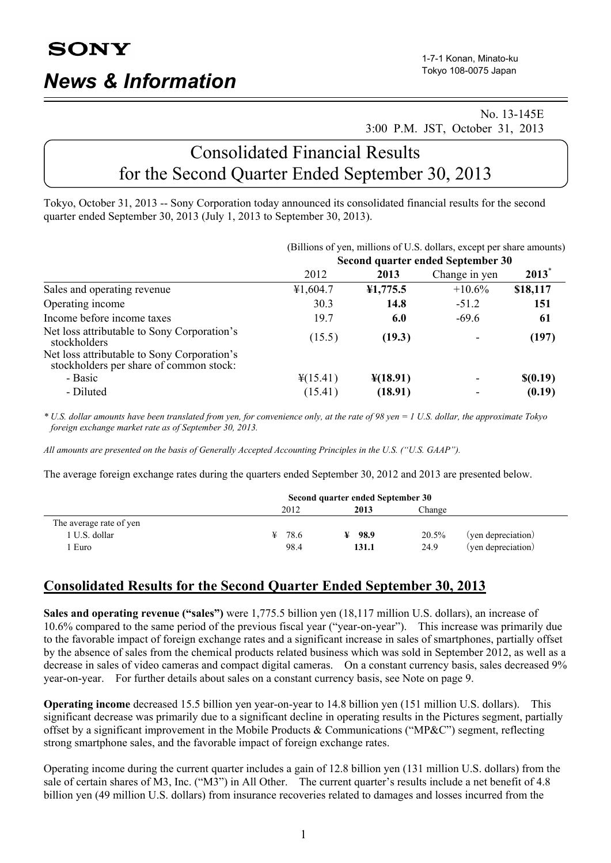# No. 13-145E 3:00 P.M. JST, October 31, 2013

# Consolidated Financial Results for the Second Quarter Ended September 30, 2013

Tokyo, October 31, 2013 -- Sony Corporation today announced its consolidated financial results for the second quarter ended September 30, 2013 (July 1, 2013 to September 30, 2013).

|                                                                                        | (Billions of yen, millions of U.S. dollars, except per share amounts) |                      |               |          |  |  |
|----------------------------------------------------------------------------------------|-----------------------------------------------------------------------|----------------------|---------------|----------|--|--|
|                                                                                        | Second quarter ended September 30                                     |                      |               |          |  |  |
|                                                                                        | 2012                                                                  | 2013                 | Change in yen | $2013^*$ |  |  |
| Sales and operating revenue                                                            | ¥1,604.7                                                              | 41,775.5             | $+10.6%$      | \$18,117 |  |  |
| Operating income                                                                       | 30.3                                                                  | 14.8                 | $-51.2$       | 151      |  |  |
| Income before income taxes                                                             | 19.7                                                                  | 6.0                  | $-69.6$       | 61       |  |  |
| Net loss attributable to Sony Corporation's<br>stockholders                            | (15.5)                                                                | (19.3)               |               | (197)    |  |  |
| Net loss attributable to Sony Corporation's<br>stockholders per share of common stock: |                                                                       |                      |               |          |  |  |
| - Basic                                                                                | $\frac{1}{2}(15.41)$                                                  | $\frac{1}{2}(18.91)$ |               | \$(0.19) |  |  |
| - Diluted                                                                              | (15.41)                                                               | (18.91)              |               | (0.19)   |  |  |

*\* U.S. dollar amounts have been translated from yen, for convenience only, at the rate of 98 yen = 1 U.S. dollar, the approximate Tokyo foreign exchange market rate as of September 30, 2013.* 

*All amounts are presented on the basis of Generally Accepted Accounting Principles in the U.S. ("U.S. GAAP").* 

The average foreign exchange rates during the quarters ended September 30, 2012 and 2013 are presented below.

|                         | Second quarter ended September 30 |       |        |                    |
|-------------------------|-----------------------------------|-------|--------|--------------------|
|                         | 2012                              | 2013  | Change |                    |
| The average rate of yen |                                   |       |        |                    |
| 1 U.S. dollar           | 78.6<br>¥                         | 98.9  | 20.5%  | (yen depreciation) |
| Euro                    | 98.4                              | 131.1 | 24.9   | (yen depreciation) |

# **Consolidated Results for the Second Quarter Ended September 30, 2013**

**Sales and operating revenue ("sales")** were 1,775.5 billion yen (18,117 million U.S. dollars), an increase of 10.6% compared to the same period of the previous fiscal year ("year-on-year"). This increase was primarily due to the favorable impact of foreign exchange rates and a significant increase in sales of smartphones, partially offset by the absence of sales from the chemical products related business which was sold in September 2012, as well as a decrease in sales of video cameras and compact digital cameras. On a constant currency basis, sales decreased 9% year-on-year. For further details about sales on a constant currency basis, see Note on page 9.

**Operating income** decreased 15.5 billion yen year-on-year to 14.8 billion yen (151 million U.S. dollars). This significant decrease was primarily due to a significant decline in operating results in the Pictures segment, partially offset by a significant improvement in the Mobile Products & Communications ("MP&C") segment, reflecting strong smartphone sales, and the favorable impact of foreign exchange rates.

Operating income during the current quarter includes a gain of 12.8 billion yen (131 million U.S. dollars) from the sale of certain shares of M3, Inc. ("M3") in All Other. The current quarter's results include a net benefit of 4.8 billion yen (49 million U.S. dollars) from insurance recoveries related to damages and losses incurred from the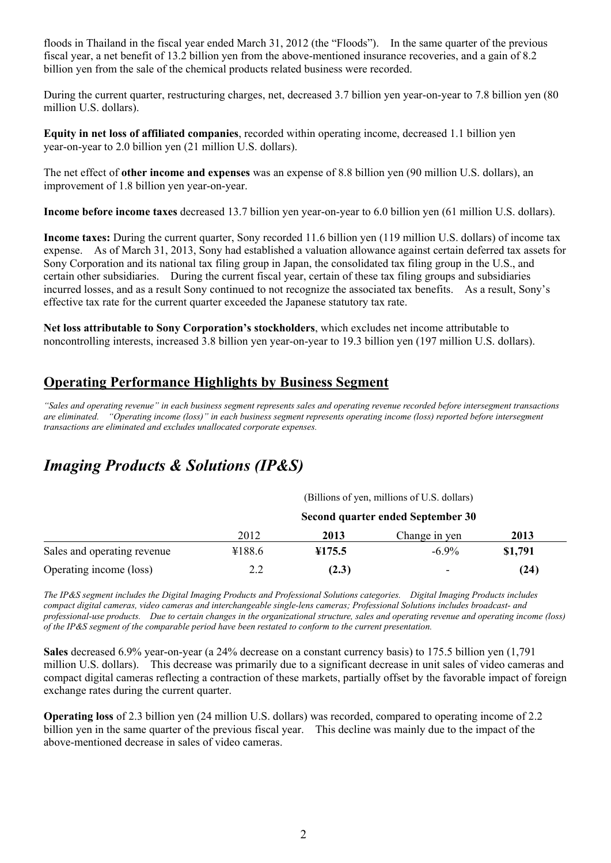floods in Thailand in the fiscal year ended March 31, 2012 (the "Floods"). In the same quarter of the previous fiscal year, a net benefit of 13.2 billion yen from the above-mentioned insurance recoveries, and a gain of 8.2 billion yen from the sale of the chemical products related business were recorded.

During the current quarter, restructuring charges, net, decreased 3.7 billion yen year-on-year to 7.8 billion yen (80 million U.S. dollars).

**Equity in net loss of affiliated companies**, recorded within operating income, decreased 1.1 billion yen year-on-year to 2.0 billion yen (21 million U.S. dollars).

The net effect of **other income and expenses** was an expense of 8.8 billion yen (90 million U.S. dollars), an improvement of 1.8 billion yen year-on-year.

**Income before income taxes** decreased 13.7 billion yen year-on-year to 6.0 billion yen (61 million U.S. dollars).

**Income taxes:** During the current quarter, Sony recorded 11.6 billion yen (119 million U.S. dollars) of income tax expense. As of March 31, 2013, Sony had established a valuation allowance against certain deferred tax assets for Sony Corporation and its national tax filing group in Japan, the consolidated tax filing group in the U.S., and certain other subsidiaries. During the current fiscal year, certain of these tax filing groups and subsidiaries incurred losses, and as a result Sony continued to not recognize the associated tax benefits. As a result, Sony's effective tax rate for the current quarter exceeded the Japanese statutory tax rate.

**Net loss attributable to Sony Corporation's stockholders**, which excludes net income attributable to noncontrolling interests, increased 3.8 billion yen year-on-year to 19.3 billion yen (197 million U.S. dollars).

# **Operating Performance Highlights by Business Segment**

*"Sales and operating revenue" in each business segment represents sales and operating revenue recorded before intersegment transactions are eliminated. "Operating income (loss)" in each business segment represents operating income (loss) reported before intersegment transactions are eliminated and excludes unallocated corporate expenses.*

# *Imaging Products & Solutions (IP&S)*

(Billions of yen, millions of U.S. dollars)

|                             | Second quarter ended September 30 |          |               |         |  |
|-----------------------------|-----------------------------------|----------|---------------|---------|--|
|                             | 2012                              | 2013     | Change in yen | 2013    |  |
| Sales and operating revenue | ¥188.6                            | $*175.5$ | $-6.9\%$      | \$1,791 |  |
| Operating income (loss)     | 2.2                               | (2.3)    | -             | (24)    |  |

*The IP&S segment includes the Digital Imaging Products and Professional Solutions categories. Digital Imaging Products includes compact digital cameras, video cameras and interchangeable single-lens cameras; Professional Solutions includes broadcast- and professional-use products. Due to certain changes in the organizational structure, sales and operating revenue and operating income (loss) of the IP&S segment of the comparable period have been restated to conform to the current presentation.* 

**Sales** decreased 6.9% year-on-year (a 24% decrease on a constant currency basis) to 175.5 billion yen (1,791 million U.S. dollars). This decrease was primarily due to a significant decrease in unit sales of video cameras and compact digital cameras reflecting a contraction of these markets, partially offset by the favorable impact of foreign exchange rates during the current quarter.

**Operating loss** of 2.3 billion yen (24 million U.S. dollars) was recorded, compared to operating income of 2.2 billion yen in the same quarter of the previous fiscal year. This decline was mainly due to the impact of the above-mentioned decrease in sales of video cameras.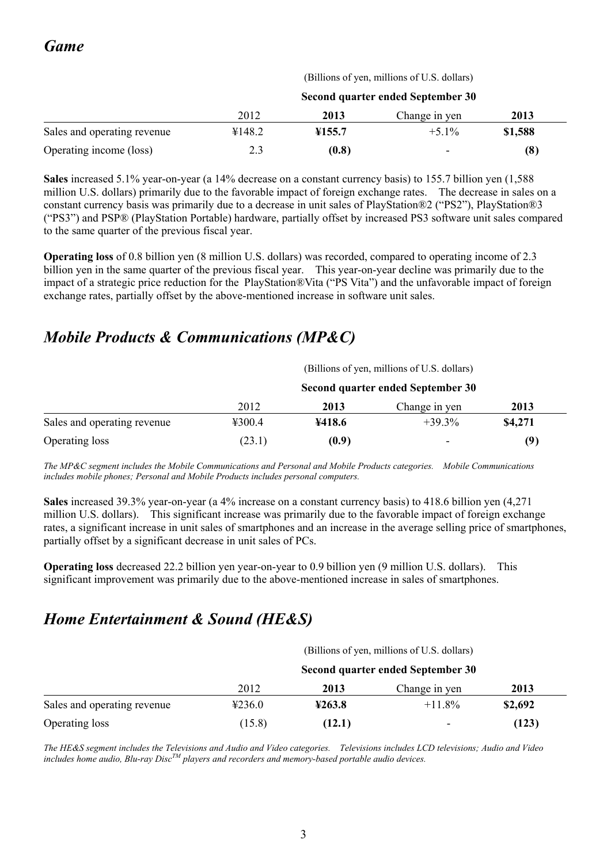# *Game*

|                             | (Billions of yen, millions of U.S. dollars) |        |                          |         |  |  |
|-----------------------------|---------------------------------------------|--------|--------------------------|---------|--|--|
|                             | Second quarter ended September 30           |        |                          |         |  |  |
|                             | 2012                                        | 2013   | Change in yen            | 2013    |  |  |
| Sales and operating revenue | ¥148.2                                      | 4155.7 | $+5.1\%$                 | \$1,588 |  |  |
| Operating income (loss)     | 2.3                                         | (0.8)  | $\overline{\phantom{0}}$ | (8)     |  |  |

**Sales** increased 5.1% year-on-year (a 14% decrease on a constant currency basis) to 155.7 billion yen (1,588 million U.S. dollars) primarily due to the favorable impact of foreign exchange rates. The decrease in sales on a constant currency basis was primarily due to a decrease in unit sales of PlayStation®2 ("PS2"), PlayStation®3 ("PS3") and PSP® (PlayStation Portable) hardware, partially offset by increased PS3 software unit sales compared to the same quarter of the previous fiscal year.

**Operating loss** of 0.8 billion yen (8 million U.S. dollars) was recorded, compared to operating income of 2.3 billion yen in the same quarter of the previous fiscal year. This year-on-year decline was primarily due to the impact of a strategic price reduction for the PlayStation®Vita ("PS Vita") and the unfavorable impact of foreign exchange rates, partially offset by the above-mentioned increase in software unit sales.

# *Mobile Products & Communications (MP&C)*

|                             | (Billions of yen, millions of U.S. dollars) |        |               |                       |  |  |
|-----------------------------|---------------------------------------------|--------|---------------|-----------------------|--|--|
|                             | Second quarter ended September 30           |        |               |                       |  |  |
|                             | 2012                                        | 2013   | Change in yen | 2013                  |  |  |
| Sales and operating revenue | 4300.4                                      | ¥418.6 | $+39.3\%$     | \$4,271               |  |  |
| Operating loss              | (23.1)                                      | (0.9)  | -             | $\boldsymbol{\theta}$ |  |  |

*The MP&C segment includes the Mobile Communications and Personal and Mobile Products categories. Mobile Communications includes mobile phones; Personal and Mobile Products includes personal computers.* 

**Sales** increased 39.3% year-on-year (a 4% increase on a constant currency basis) to 418.6 billion yen (4,271 million U.S. dollars). This significant increase was primarily due to the favorable impact of foreign exchange rates, a significant increase in unit sales of smartphones and an increase in the average selling price of smartphones, partially offset by a significant decrease in unit sales of PCs.

**Operating loss** decreased 22.2 billion yen year-on-year to 0.9 billion yen (9 million U.S. dollars). This significant improvement was primarily due to the above-mentioned increase in sales of smartphones.

# *Home Entertainment & Sound (HE&S)*

|                             | (Billions of yen, millions of U.S. dollars) |        |                          |         |  |  |
|-----------------------------|---------------------------------------------|--------|--------------------------|---------|--|--|
|                             | Second quarter ended September 30           |        |                          |         |  |  |
|                             | 2012                                        | 2013   | Change in yen            | 2013    |  |  |
| Sales and operating revenue | 4236.0                                      | 4263.8 | $+11.8\%$                | \$2,692 |  |  |
| Operating loss              | (15.8)                                      | (12.1) | $\overline{\phantom{0}}$ | (123)   |  |  |

*The HE&S segment includes the Televisions and Audio and Video categories. Televisions includes LCD televisions; Audio and Video includes home audio, Blu-ray DiscTM players and recorders and memory-based portable audio devices.*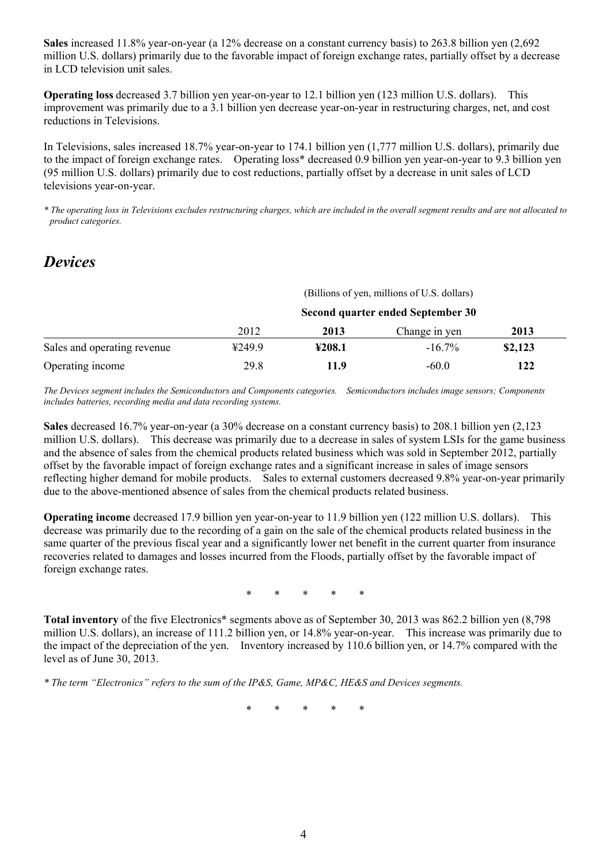**Sales** increased 11.8% year-on-year (a 12% decrease on a constant currency basis) to 263.8 billion yen (2,692 million U.S. dollars) primarily due to the favorable impact of foreign exchange rates, partially offset by a decrease in LCD television unit sales.

**Operating loss** decreased 3.7 billion yen year-on-year to 12.1 billion yen (123 million U.S. dollars). This improvement was primarily due to a 3.1 billion yen decrease year-on-year in restructuring charges, net, and cost reductions in Televisions.

In Televisions, sales increased 18.7% year-on-year to 174.1 billion yen (1,777 million U.S. dollars), primarily due to the impact of foreign exchange rates. Operating loss\* decreased 0.9 billion yen year-on-year to 9.3 billion yen (95 million U.S. dollars) primarily due to cost reductions, partially offset by a decrease in unit sales of LCD televisions year-on-year.

*\* The operating loss in Televisions excludes restructuring charges, which are included in the overall segment results and are not allocated to product categories.*

# *Devices*

|                             | (Billions of yen, millions of U.S. dollars) |        |               |         |  |  |
|-----------------------------|---------------------------------------------|--------|---------------|---------|--|--|
|                             | Second quarter ended September 30           |        |               |         |  |  |
|                             | 2012                                        | 2013   | Change in yen | 2013    |  |  |
| Sales and operating revenue | 4249.9                                      | 4208.1 | $-16.7\%$     | \$2,123 |  |  |
| Operating income            | 29.8                                        | 11.9   | $-60.0$       | 122     |  |  |

*The Devices segment includes the Semiconductors and Components categories. Semiconductors includes image sensors; Components includes batteries, recording media and data recording systems.* 

**Sales** decreased 16.7% year-on-year (a 30% decrease on a constant currency basis) to 208.1 billion yen (2,123 million U.S. dollars). This decrease was primarily due to a decrease in sales of system LSIs for the game business and the absence of sales from the chemical products related business which was sold in September 2012, partially offset by the favorable impact of foreign exchange rates and a significant increase in sales of image sensors reflecting higher demand for mobile products. Sales to external customers decreased 9.8% year-on-year primarily due to the above-mentioned absence of sales from the chemical products related business.

**Operating income** decreased 17.9 billion yen year-on-year to 11.9 billion yen (122 million U.S. dollars). This decrease was primarily due to the recording of a gain on the sale of the chemical products related business in the same quarter of the previous fiscal year and a significantly lower net benefit in the current quarter from insurance recoveries related to damages and losses incurred from the Floods, partially offset by the favorable impact of foreign exchange rates.

\* \* \* \* \*

**Total inventory** of the five Electronics\* segments above as of September 30, 2013 was 862.2 billion yen (8,798 million U.S. dollars), an increase of 111.2 billion yen, or 14.8% year-on-year. This increase was primarily due to the impact of the depreciation of the yen. Inventory increased by 110.6 billion yen, or 14.7% compared with the level as of June 30, 2013.

*\* The term "Electronics" refers to the sum of the IP&S, Game, MP&C, HE&S and Devices segments.* 

\* \* \* \* \*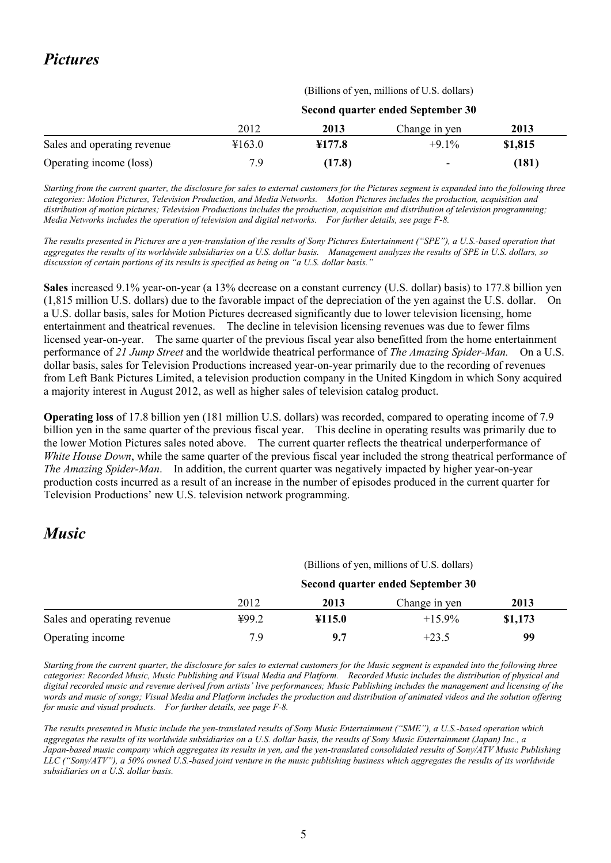# *Pictures*

#### (Billions of yen, millions of U.S. dollars)

|                             | Second quarter ended September 30 |        |                          |         |  |
|-----------------------------|-----------------------------------|--------|--------------------------|---------|--|
|                             | 2012                              | 2013   | Change in yen            | 2013    |  |
| Sales and operating revenue | 4163.0                            | ¥177.8 | $+9.1\%$                 | \$1,815 |  |
| Operating income (loss)     | 7 Q                               | (17.8) | $\overline{\phantom{0}}$ | (181)   |  |

*Starting from the current quarter, the disclosure for sales to external customers for the Pictures segment is expanded into the following three categories: Motion Pictures, Television Production, and Media Networks. Motion Pictures includes the production, acquisition and distribution of motion pictures; Television Productions includes the production, acquisition and distribution of television programming; Media Networks includes the operation of television and digital networks. For further details, see page F-8.* 

*The results presented in Pictures are a yen-translation of the results of Sony Pictures Entertainment ("SPE"), a U.S.-based operation that aggregates the results of its worldwide subsidiaries on a U.S. dollar basis. Management analyzes the results of SPE in U.S. dollars, so discussion of certain portions of its results is specified as being on "a U.S. dollar basis."* 

**Sales** increased 9.1% year-on-year (a 13% decrease on a constant currency (U.S. dollar) basis) to 177.8 billion yen (1,815 million U.S. dollars) due to the favorable impact of the depreciation of the yen against the U.S. dollar. On a U.S. dollar basis, sales for Motion Pictures decreased significantly due to lower television licensing, home entertainment and theatrical revenues. The decline in television licensing revenues was due to fewer films licensed year-on-year. The same quarter of the previous fiscal year also benefitted from the home entertainment performance of *21 Jump Street* and the worldwide theatrical performance of *The Amazing Spider-Man.* On a U.S. dollar basis, sales for Television Productions increased year-on-year primarily due to the recording of revenues from Left Bank Pictures Limited, a television production company in the United Kingdom in which Sony acquired a majority interest in August 2012, as well as higher sales of television catalog product.

**Operating loss** of 17.8 billion yen (181 million U.S. dollars) was recorded, compared to operating income of 7.9 billion yen in the same quarter of the previous fiscal year. This decline in operating results was primarily due to the lower Motion Pictures sales noted above. The current quarter reflects the theatrical underperformance of *White House Down*, while the same quarter of the previous fiscal year included the strong theatrical performance of *The Amazing Spider-Man*. In addition, the current quarter was negatively impacted by higher year-on-year production costs incurred as a result of an increase in the number of episodes produced in the current quarter for Television Productions' new U.S. television network programming.

# *Music*

|                             | (Billions of yen, millions of U.S. dollars) |        |               |         |  |  |
|-----------------------------|---------------------------------------------|--------|---------------|---------|--|--|
|                             | Second quarter ended September 30           |        |               |         |  |  |
|                             | 2012                                        | 2013   | Change in yen | 2013    |  |  |
| Sales and operating revenue | ¥99.2                                       | ¥115.0 | $+15.9\%$     | \$1,173 |  |  |
| Operating income            | 79                                          | 9.7    | $+23.5$       | 99      |  |  |

*Starting from the current quarter, the disclosure for sales to external customers for the Music segment is expanded into the following three categories: Recorded Music, Music Publishing and Visual Media and Platform. Recorded Music includes the distribution of physical and digital recorded music and revenue derived from artists' live performances; Music Publishing includes the management and licensing of the words and music of songs; Visual Media and Platform includes the production and distribution of animated videos and the solution offering for music and visual products. For further details, see page F-8.* 

*The results presented in Music include the yen-translated results of Sony Music Entertainment ("SME"), a U.S.-based operation which aggregates the results of its worldwide subsidiaries on a U.S. dollar basis, the results of Sony Music Entertainment (Japan) Inc., a Japan-based music company which aggregates its results in yen, and the yen-translated consolidated results of Sony/ATV Music Publishing LLC ("Sony/ATV"), a 50% owned U.S.-based joint venture in the music publishing business which aggregates the results of its worldwide subsidiaries on a U.S. dollar basis.*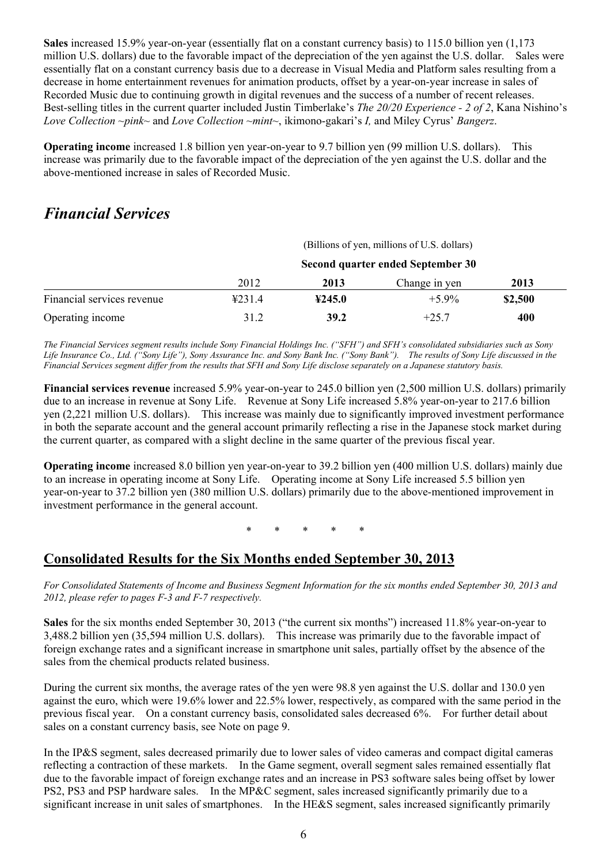**Sales** increased 15.9% year-on-year (essentially flat on a constant currency basis) to 115.0 billion yen (1,173 million U.S. dollars) due to the favorable impact of the depreciation of the yen against the U.S. dollar. Sales were essentially flat on a constant currency basis due to a decrease in Visual Media and Platform sales resulting from a decrease in home entertainment revenues for animation products, offset by a year-on-year increase in sales of Recorded Music due to continuing growth in digital revenues and the success of a number of recent releases. Best-selling titles in the current quarter included Justin Timberlake's *The 20/20 Experience - 2 of 2*, Kana Nishino's *Love Collection ~pink~* and *Love Collection ~mint~*, ikimono-gakari's *I,* and Miley Cyrus' *Bangerz*.

**Operating income** increased 1.8 billion yen year-on-year to 9.7 billion yen (99 million U.S. dollars). This increase was primarily due to the favorable impact of the depreciation of the yen against the U.S. dollar and the above-mentioned increase in sales of Recorded Music.

# *Financial Services*

|                            | (Billions of yen, millions of U.S. dollars)<br>Second quarter ended September 30 |        |               |         |  |  |
|----------------------------|----------------------------------------------------------------------------------|--------|---------------|---------|--|--|
|                            |                                                                                  |        |               |         |  |  |
|                            | 2012                                                                             | 2013   | Change in yen | 2013    |  |  |
| Financial services revenue | 4231.4                                                                           | 4245.0 | $+5.9\%$      | \$2,500 |  |  |
| Operating income           | 31.2                                                                             | 39.2   | $+25.7$       | 400     |  |  |

*The Financial Services segment results include Sony Financial Holdings Inc. ("SFH") and SFH's consolidated subsidiaries such as Sony Life Insurance Co., Ltd. ("Sony Life"), Sony Assurance Inc. and Sony Bank Inc. ("Sony Bank"). The results of Sony Life discussed in the Financial Services segment differ from the results that SFH and Sony Life disclose separately on a Japanese statutory basis.* 

**Financial services revenue** increased 5.9% year-on-year to 245.0 billion yen (2,500 million U.S. dollars) primarily due to an increase in revenue at Sony Life. Revenue at Sony Life increased 5.8% year-on-year to 217.6 billion yen (2,221 million U.S. dollars). This increase was mainly due to significantly improved investment performance in both the separate account and the general account primarily reflecting a rise in the Japanese stock market during the current quarter, as compared with a slight decline in the same quarter of the previous fiscal year.

**Operating income** increased 8.0 billion yen year-on-year to 39.2 billion yen (400 million U.S. dollars) mainly due to an increase in operating income at Sony Life. Operating income at Sony Life increased 5.5 billion yen year-on-year to 37.2 billion yen (380 million U.S. dollars) primarily due to the above-mentioned improvement in investment performance in the general account.

\* \* \* \* \*

# **Consolidated Results for the Six Months ended September 30, 2013**

*For Consolidated Statements of Income and Business Segment Information for the six months ended September 30, 2013 and 2012, please refer to pages F-3 and F-7 respectively.* 

**Sales** for the six months ended September 30, 2013 ("the current six months") increased 11.8% year-on-year to 3,488.2 billion yen (35,594 million U.S. dollars). This increase was primarily due to the favorable impact of foreign exchange rates and a significant increase in smartphone unit sales, partially offset by the absence of the sales from the chemical products related business.

During the current six months, the average rates of the yen were 98.8 yen against the U.S. dollar and 130.0 yen against the euro, which were 19.6% lower and 22.5% lower, respectively, as compared with the same period in the previous fiscal year. On a constant currency basis, consolidated sales decreased 6%. For further detail about sales on a constant currency basis, see Note on page 9.

In the IP&S segment, sales decreased primarily due to lower sales of video cameras and compact digital cameras reflecting a contraction of these markets. In the Game segment, overall segment sales remained essentially flat due to the favorable impact of foreign exchange rates and an increase in PS3 software sales being offset by lower PS2, PS3 and PSP hardware sales. In the MP&C segment, sales increased significantly primarily due to a significant increase in unit sales of smartphones. In the HE&S segment, sales increased significantly primarily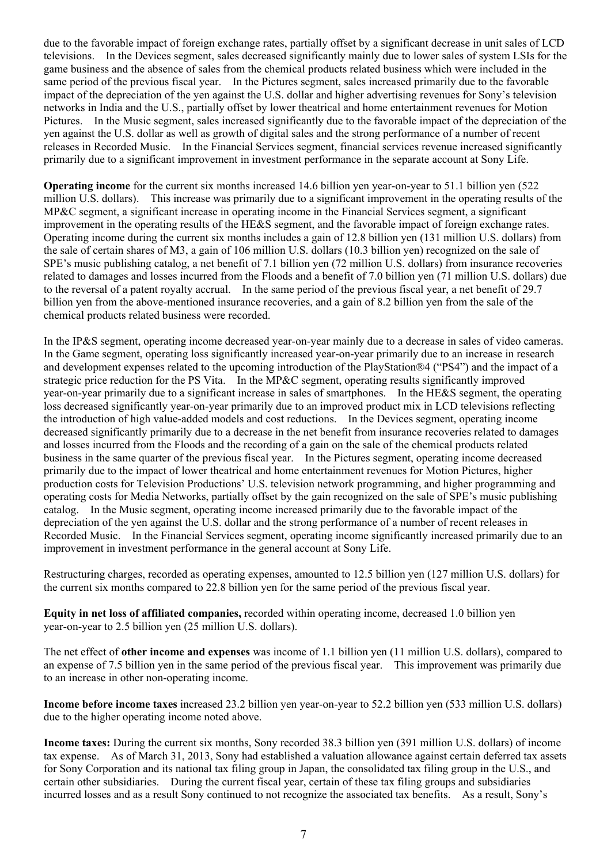due to the favorable impact of foreign exchange rates, partially offset by a significant decrease in unit sales of LCD televisions. In the Devices segment, sales decreased significantly mainly due to lower sales of system LSIs for the game business and the absence of sales from the chemical products related business which were included in the same period of the previous fiscal year. In the Pictures segment, sales increased primarily due to the favorable impact of the depreciation of the yen against the U.S. dollar and higher advertising revenues for Sony's television networks in India and the U.S., partially offset by lower theatrical and home entertainment revenues for Motion Pictures. In the Music segment, sales increased significantly due to the favorable impact of the depreciation of the yen against the U.S. dollar as well as growth of digital sales and the strong performance of a number of recent releases in Recorded Music. In the Financial Services segment, financial services revenue increased significantly primarily due to a significant improvement in investment performance in the separate account at Sony Life.

**Operating income** for the current six months increased 14.6 billion yen year-on-year to 51.1 billion yen (522 million U.S. dollars). This increase was primarily due to a significant improvement in the operating results of the MP&C segment, a significant increase in operating income in the Financial Services segment, a significant improvement in the operating results of the HE&S segment, and the favorable impact of foreign exchange rates. Operating income during the current six months includes a gain of 12.8 billion yen (131 million U.S. dollars) from the sale of certain shares of M3, a gain of 106 million U.S. dollars (10.3 billion yen) recognized on the sale of SPE's music publishing catalog, a net benefit of 7.1 billion yen (72 million U.S. dollars) from insurance recoveries related to damages and losses incurred from the Floods and a benefit of 7.0 billion yen (71 million U.S. dollars) due to the reversal of a patent royalty accrual. In the same period of the previous fiscal year, a net benefit of 29.7 billion yen from the above-mentioned insurance recoveries, and a gain of 8.2 billion yen from the sale of the chemical products related business were recorded.

In the IP&S segment, operating income decreased year-on-year mainly due to a decrease in sales of video cameras. In the Game segment, operating loss significantly increased year-on-year primarily due to an increase in research and development expenses related to the upcoming introduction of the PlayStation®4 ("PS4") and the impact of a strategic price reduction for the PS Vita. In the MP&C segment, operating results significantly improved year-on-year primarily due to a significant increase in sales of smartphones. In the HE&S segment, the operating loss decreased significantly year-on-year primarily due to an improved product mix in LCD televisions reflecting the introduction of high value-added models and cost reductions. In the Devices segment, operating income decreased significantly primarily due to a decrease in the net benefit from insurance recoveries related to damages and losses incurred from the Floods and the recording of a gain on the sale of the chemical products related business in the same quarter of the previous fiscal year. In the Pictures segment, operating income decreased primarily due to the impact of lower theatrical and home entertainment revenues for Motion Pictures, higher production costs for Television Productions' U.S. television network programming, and higher programming and operating costs for Media Networks, partially offset by the gain recognized on the sale of SPE's music publishing catalog. In the Music segment, operating income increased primarily due to the favorable impact of the depreciation of the yen against the U.S. dollar and the strong performance of a number of recent releases in Recorded Music. In the Financial Services segment, operating income significantly increased primarily due to an improvement in investment performance in the general account at Sony Life.

Restructuring charges, recorded as operating expenses, amounted to 12.5 billion yen (127 million U.S. dollars) for the current six months compared to 22.8 billion yen for the same period of the previous fiscal year.

**Equity in net loss of affiliated companies,** recorded within operating income, decreased 1.0 billion yen year-on-year to 2.5 billion yen (25 million U.S. dollars).

The net effect of **other income and expenses** was income of 1.1 billion yen (11 million U.S. dollars), compared to an expense of 7.5 billion yen in the same period of the previous fiscal year. This improvement was primarily due to an increase in other non-operating income.

**Income before income taxes** increased 23.2 billion yen year-on-year to 52.2 billion yen (533 million U.S. dollars) due to the higher operating income noted above.

**Income taxes:** During the current six months, Sony recorded 38.3 billion yen (391 million U.S. dollars) of income tax expense. As of March 31, 2013, Sony had established a valuation allowance against certain deferred tax assets for Sony Corporation and its national tax filing group in Japan, the consolidated tax filing group in the U.S., and certain other subsidiaries. During the current fiscal year, certain of these tax filing groups and subsidiaries incurred losses and as a result Sony continued to not recognize the associated tax benefits. As a result, Sony's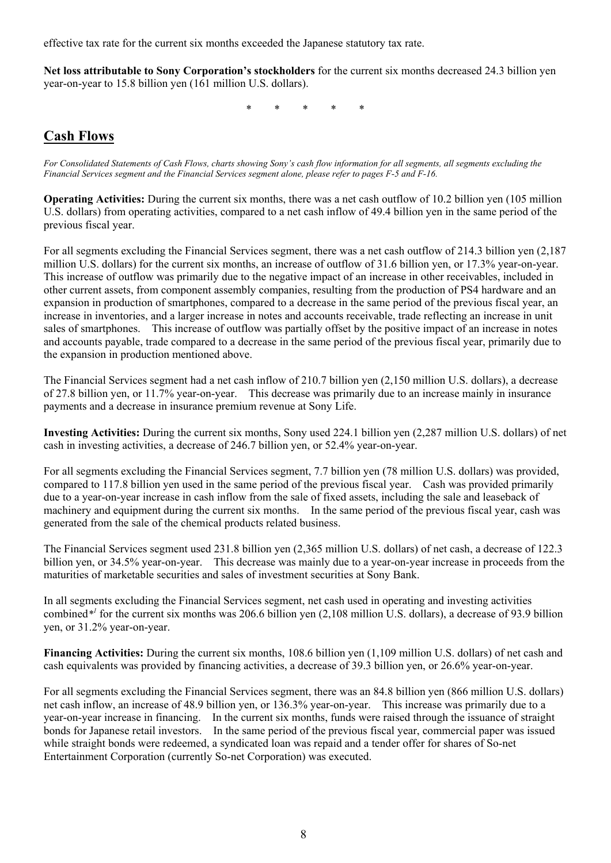effective tax rate for the current six months exceeded the Japanese statutory tax rate.

**Net loss attributable to Sony Corporation's stockholders** for the current six months decreased 24.3 billion yen year-on-year to 15.8 billion yen (161 million U.S. dollars).

\* \* \* \* \*

# **Cash Flows**

*For Consolidated Statements of Cash Flows, charts showing Sony's cash flow information for all segments, all segments excluding the Financial Services segment and the Financial Services segment alone, please refer to pages F-5 and F-16.* 

**Operating Activities:** During the current six months, there was a net cash outflow of 10.2 billion yen (105 million U.S. dollars) from operating activities, compared to a net cash inflow of 49.4 billion yen in the same period of the previous fiscal year.

For all segments excluding the Financial Services segment, there was a net cash outflow of 214.3 billion yen (2,187 million U.S. dollars) for the current six months, an increase of outflow of 31.6 billion yen, or 17.3% year-on-year. This increase of outflow was primarily due to the negative impact of an increase in other receivables, included in other current assets, from component assembly companies, resulting from the production of PS4 hardware and an expansion in production of smartphones, compared to a decrease in the same period of the previous fiscal year, an increase in inventories, and a larger increase in notes and accounts receivable, trade reflecting an increase in unit sales of smartphones. This increase of outflow was partially offset by the positive impact of an increase in notes and accounts payable, trade compared to a decrease in the same period of the previous fiscal year, primarily due to the expansion in production mentioned above.

The Financial Services segment had a net cash inflow of 210.7 billion yen (2,150 million U.S. dollars), a decrease of 27.8 billion yen, or 11.7% year-on-year. This decrease was primarily due to an increase mainly in insurance payments and a decrease in insurance premium revenue at Sony Life.

**Investing Activities:** During the current six months, Sony used 224.1 billion yen (2,287 million U.S. dollars) of net cash in investing activities, a decrease of 246.7 billion yen, or 52.4% year-on-year.

For all segments excluding the Financial Services segment, 7.7 billion yen (78 million U.S. dollars) was provided, compared to 117.8 billion yen used in the same period of the previous fiscal year. Cash was provided primarily due to a year-on-year increase in cash inflow from the sale of fixed assets, including the sale and leaseback of machinery and equipment during the current six months. In the same period of the previous fiscal year, cash was generated from the sale of the chemical products related business.

The Financial Services segment used 231.8 billion yen (2,365 million U.S. dollars) of net cash, a decrease of 122.3 billion yen, or 34.5% year-on-year. This decrease was mainly due to a year-on-year increase in proceeds from the maturities of marketable securities and sales of investment securities at Sony Bank.

In all segments excluding the Financial Services segment, net cash used in operating and investing activities combined<sup>\**l*</sup> for the current six months was 206.6 billion yen (2,108 million U.S. dollars), a decrease of 93.9 billion yen, or 31.2% year-on-year.

**Financing Activities:** During the current six months, 108.6 billion yen (1,109 million U.S. dollars) of net cash and cash equivalents was provided by financing activities, a decrease of 39.3 billion yen, or 26.6% year-on-year.

For all segments excluding the Financial Services segment, there was an 84.8 billion yen (866 million U.S. dollars) net cash inflow, an increase of 48.9 billion yen, or 136.3% year-on-year. This increase was primarily due to a year-on-year increase in financing. In the current six months, funds were raised through the issuance of straight bonds for Japanese retail investors. In the same period of the previous fiscal year, commercial paper was issued while straight bonds were redeemed, a syndicated loan was repaid and a tender offer for shares of So-net Entertainment Corporation (currently So-net Corporation) was executed.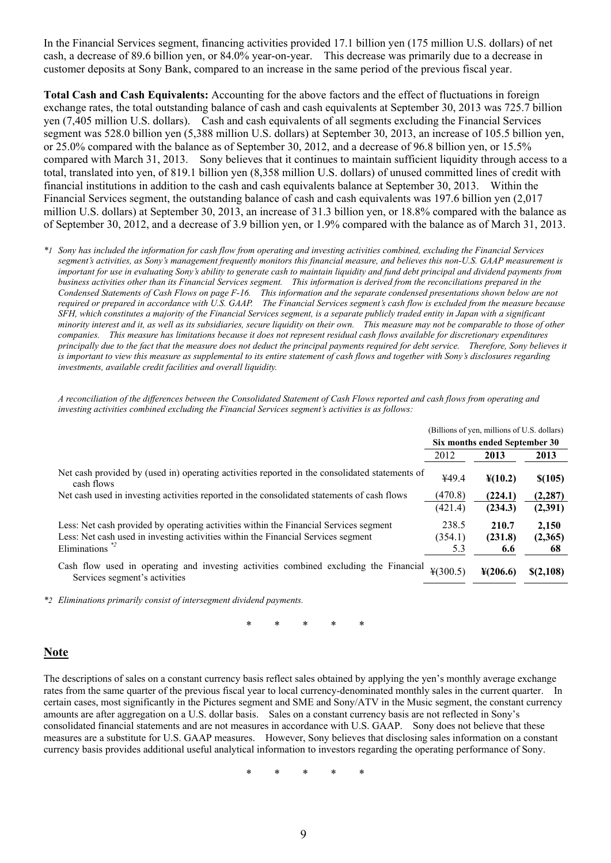In the Financial Services segment, financing activities provided 17.1 billion yen (175 million U.S. dollars) of net cash, a decrease of 89.6 billion yen, or 84.0% year-on-year. This decrease was primarily due to a decrease in customer deposits at Sony Bank, compared to an increase in the same period of the previous fiscal year.

**Total Cash and Cash Equivalents:** Accounting for the above factors and the effect of fluctuations in foreign exchange rates, the total outstanding balance of cash and cash equivalents at September 30, 2013 was 725.7 billion yen (7,405 million U.S. dollars). Cash and cash equivalents of all segments excluding the Financial Services segment was 528.0 billion yen (5,388 million U.S. dollars) at September 30, 2013, an increase of 105.5 billion yen, or 25.0% compared with the balance as of September 30, 2012, and a decrease of 96.8 billion yen, or 15.5% compared with March 31, 2013. Sony believes that it continues to maintain sufficient liquidity through access to a total, translated into yen, of 819.1 billion yen (8,358 million U.S. dollars) of unused committed lines of credit with financial institutions in addition to the cash and cash equivalents balance at September 30, 2013. Within the Financial Services segment, the outstanding balance of cash and cash equivalents was 197.6 billion yen (2,017 million U.S. dollars) at September 30, 2013, an increase of 31.3 billion yen, or 18.8% compared with the balance as of September 30, 2012, and a decrease of 3.9 billion yen, or 1.9% compared with the balance as of March 31, 2013.

*\*1 Sony has included the information for cash flow from operating and investing activities combined, excluding the Financial Services segment's activities, as Sony's management frequently monitors this financial measure, and believes this non-U.S. GAAP measurement is important for use in evaluating Sony's ability to generate cash to maintain liquidity and fund debt principal and dividend payments from business activities other than its Financial Services segment. This information is derived from the reconciliations prepared in the Condensed Statements of Cash Flows on page F-16. This information and the separate condensed presentations shown below are not required or prepared in accordance with U.S. GAAP. The Financial Services segment's cash flow is excluded from the measure because SFH, which constitutes a majority of the Financial Services segment, is a separate publicly traded entity in Japan with a significant minority interest and it, as well as its subsidiaries, secure liquidity on their own. This measure may not be comparable to those of other companies. This measure has limitations because it does not represent residual cash flows available for discretionary expenditures principally due to the fact that the measure does not deduct the principal payments required for debt service. Therefore, Sony believes it*  is important to view this measure as supplemental to its entire statement of cash flows and together with Sony's disclosures regarding *investments, available credit facilities and overall liquidity.* 

*A reconciliation of the differences between the Consolidated Statement of Cash Flows reported and cash flows from operating and investing activities combined excluding the Financial Services segment's activities is as follows:* 

|                                                                                                                                                                                                  | (Billions of yen, millions of U.S. dollars) |                         |                        |
|--------------------------------------------------------------------------------------------------------------------------------------------------------------------------------------------------|---------------------------------------------|-------------------------|------------------------|
|                                                                                                                                                                                                  | Six months ended September 30               |                         |                        |
|                                                                                                                                                                                                  | 2012                                        | 2013                    | 2013                   |
| Net cash provided by (used in) operating activities reported in the consolidated statements of<br>cash flows                                                                                     | ¥49.4                                       | $\frac{1}{2}(10.2)$     | \$(105)                |
| Net cash used in investing activities reported in the consolidated statements of cash flows                                                                                                      | (470.8)<br>(421.4)                          | (224.1)<br>(234.3)      | (2, 287)<br>(2,391)    |
| Less: Net cash provided by operating activities within the Financial Services segment<br>Less: Net cash used in investing activities within the Financial Services segment<br>Eliminations $z^2$ | 238.5<br>(354.1)<br>5.3                     | 210.7<br>(231.8)<br>6.6 | 2,150<br>(2,365)<br>68 |
| Cash flow used in operating and investing activities combined excluding the Financial<br>Services segment's activities                                                                           | $*(300.5)$                                  | $\frac{1}{2}(206.6)$    | \$(2,108)              |

*\*2 Eliminations primarily consist of intersegment dividend payments.* 

\* \* \* \* \*

## **Note**

The descriptions of sales on a constant currency basis reflect sales obtained by applying the yen's monthly average exchange rates from the same quarter of the previous fiscal year to local currency-denominated monthly sales in the current quarter. In certain cases, most significantly in the Pictures segment and SME and Sony/ATV in the Music segment, the constant currency amounts are after aggregation on a U.S. dollar basis. Sales on a constant currency basis are not reflected in Sony's consolidated financial statements and are not measures in accordance with U.S. GAAP. Sony does not believe that these measures are a substitute for U.S. GAAP measures. However, Sony believes that disclosing sales information on a constant currency basis provides additional useful analytical information to investors regarding the operating performance of Sony.

\* \* \* \* \*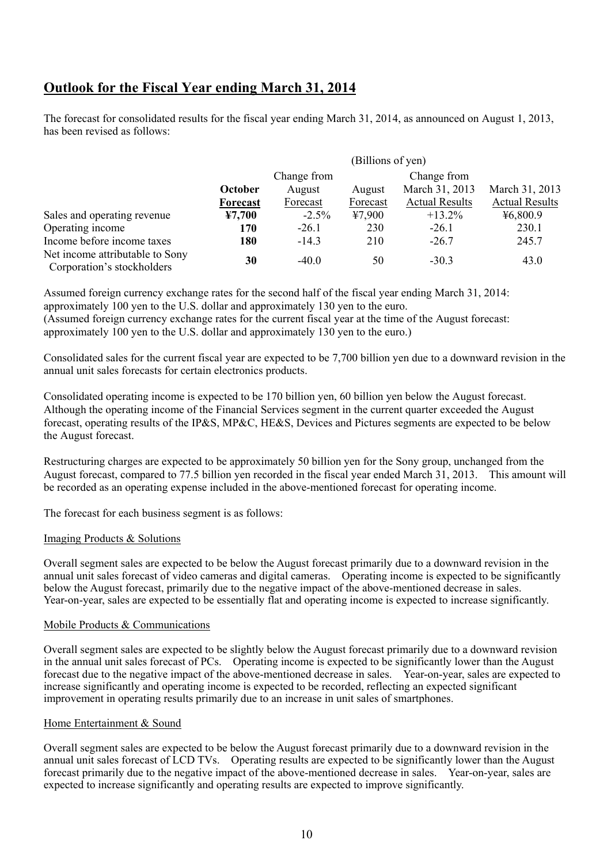# **Outlook for the Fiscal Year ending March 31, 2014**

The forecast for consolidated results for the fiscal year ending March 31, 2014, as announced on August 1, 2013, has been revised as follows:

|                                 | (Billions of yen) |          |          |                       |                       |
|---------------------------------|-------------------|----------|----------|-----------------------|-----------------------|
|                                 |                   |          |          |                       |                       |
|                                 | October           | August   | August   | March 31, 2013        | March 31, 2013        |
|                                 | Forecast          | Forecast | Forecast | <b>Actual Results</b> | <b>Actual Results</b> |
| Sales and operating revenue     | 47,700            | $-2.5\%$ | 47,900   | $+13.2\%$             | 46,800.9              |
| Operating income                | 170               | $-26.1$  | 230      | $-26.1$               | 230.1                 |
| Income before income taxes      | 180               | $-14.3$  | 210      | $-26.7$               | 245.7                 |
| Net income attributable to Sony | 30                | $-40.0$  | 50       | $-30.3$               | 43.0                  |
| Corporation's stockholders      |                   |          |          |                       |                       |

Assumed foreign currency exchange rates for the second half of the fiscal year ending March 31, 2014: approximately 100 yen to the U.S. dollar and approximately 130 yen to the euro. (Assumed foreign currency exchange rates for the current fiscal year at the time of the August forecast: approximately 100 yen to the U.S. dollar and approximately 130 yen to the euro.)

Consolidated sales for the current fiscal year are expected to be 7,700 billion yen due to a downward revision in the annual unit sales forecasts for certain electronics products.

Consolidated operating income is expected to be 170 billion yen, 60 billion yen below the August forecast. Although the operating income of the Financial Services segment in the current quarter exceeded the August forecast, operating results of the IP&S, MP&C, HE&S, Devices and Pictures segments are expected to be below the August forecast.

Restructuring charges are expected to be approximately 50 billion yen for the Sony group, unchanged from the August forecast, compared to 77.5 billion yen recorded in the fiscal year ended March 31, 2013. This amount will be recorded as an operating expense included in the above-mentioned forecast for operating income.

The forecast for each business segment is as follows:

## Imaging Products & Solutions

Overall segment sales are expected to be below the August forecast primarily due to a downward revision in the annual unit sales forecast of video cameras and digital cameras. Operating income is expected to be significantly below the August forecast, primarily due to the negative impact of the above-mentioned decrease in sales. Year-on-year, sales are expected to be essentially flat and operating income is expected to increase significantly.

## Mobile Products & Communications

Overall segment sales are expected to be slightly below the August forecast primarily due to a downward revision in the annual unit sales forecast of PCs. Operating income is expected to be significantly lower than the August forecast due to the negative impact of the above-mentioned decrease in sales. Year-on-year, sales are expected to increase significantly and operating income is expected to be recorded, reflecting an expected significant improvement in operating results primarily due to an increase in unit sales of smartphones.

## Home Entertainment & Sound

Overall segment sales are expected to be below the August forecast primarily due to a downward revision in the annual unit sales forecast of LCD TVs. Operating results are expected to be significantly lower than the August forecast primarily due to the negative impact of the above-mentioned decrease in sales. Year-on-year, sales are expected to increase significantly and operating results are expected to improve significantly.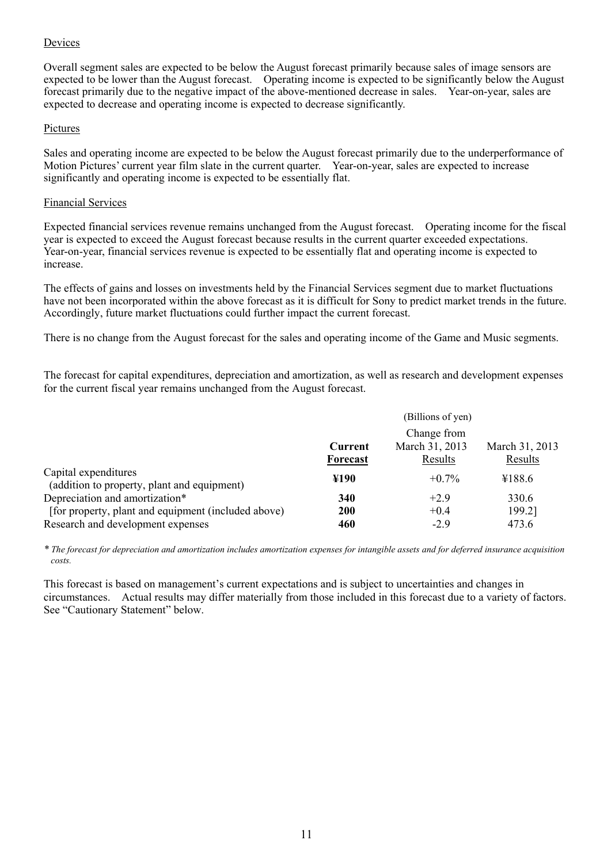# Devices

Overall segment sales are expected to be below the August forecast primarily because sales of image sensors are expected to be lower than the August forecast. Operating income is expected to be significantly below the August forecast primarily due to the negative impact of the above-mentioned decrease in sales. Year-on-year, sales are expected to decrease and operating income is expected to decrease significantly.

# Pictures

Sales and operating income are expected to be below the August forecast primarily due to the underperformance of Motion Pictures' current year film slate in the current quarter. Year-on-year, sales are expected to increase significantly and operating income is expected to be essentially flat.

## Financial Services

Expected financial services revenue remains unchanged from the August forecast. Operating income for the fiscal year is expected to exceed the August forecast because results in the current quarter exceeded expectations. Year-on-year, financial services revenue is expected to be essentially flat and operating income is expected to increase.

The effects of gains and losses on investments held by the Financial Services segment due to market fluctuations have not been incorporated within the above forecast as it is difficult for Sony to predict market trends in the future. Accordingly, future market fluctuations could further impact the current forecast.

There is no change from the August forecast for the sales and operating income of the Game and Music segments.

The forecast for capital expenditures, depreciation and amortization, as well as research and development expenses for the current fiscal year remains unchanged from the August forecast.

|                                                                     | (Billions of yen) |                |                |  |  |  |  |
|---------------------------------------------------------------------|-------------------|----------------|----------------|--|--|--|--|
|                                                                     | Change from       |                |                |  |  |  |  |
|                                                                     | <b>Current</b>    | March 31, 2013 | March 31, 2013 |  |  |  |  |
|                                                                     | Forecast          | Results        | Results        |  |  |  |  |
| Capital expenditures<br>(addition to property, plant and equipment) | ¥190              | $+0.7\%$       | ¥188.6         |  |  |  |  |
| Depreciation and amortization*                                      | 340               | $+29$          | 330.6          |  |  |  |  |
| [for property, plant and equipment (included above)                 | <b>200</b>        | $+0.4$         | 199.2]         |  |  |  |  |
| Research and development expenses                                   | 460               | $-2.9$         | 473.6          |  |  |  |  |

*\* The forecast for depreciation and amortization includes amortization expenses for intangible assets and for deferred insurance acquisition costs.* 

This forecast is based on management's current expectations and is subject to uncertainties and changes in circumstances. Actual results may differ materially from those included in this forecast due to a variety of factors. See "Cautionary Statement" below.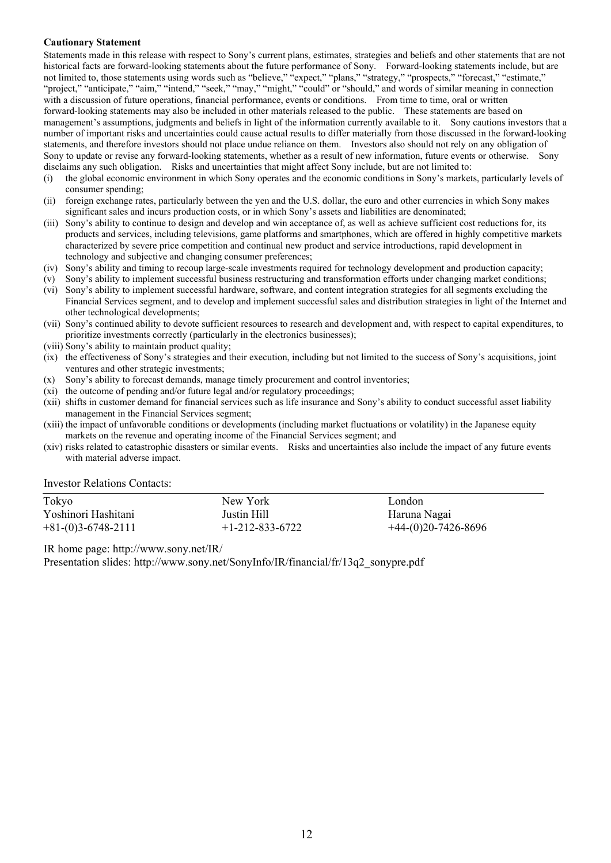#### **Cautionary Statement**

Statements made in this release with respect to Sony's current plans, estimates, strategies and beliefs and other statements that are not historical facts are forward-looking statements about the future performance of Sony. Forward-looking statements include, but are not limited to, those statements using words such as "believe," "expect," "plans," "strategy," "prospects," "forecast," "estimate," "project," "anticipate," "aim," "intend," "seek," "may," "might," "could" or "should," and words of similar meaning in connection with a discussion of future operations, financial performance, events or conditions. From time to time, oral or written forward-looking statements may also be included in other materials released to the public. These statements are based on management's assumptions, judgments and beliefs in light of the information currently available to it. Sony cautions investors that a number of important risks and uncertainties could cause actual results to differ materially from those discussed in the forward-looking statements, and therefore investors should not place undue reliance on them. Investors also should not rely on any obligation of Sony to update or revise any forward-looking statements, whether as a result of new information, future events or otherwise. Sony disclaims any such obligation. Risks and uncertainties that might affect Sony include, but are not limited to:

- (i) the global economic environment in which Sony operates and the economic conditions in Sony's markets, particularly levels of consumer spending;
- (ii) foreign exchange rates, particularly between the yen and the U.S. dollar, the euro and other currencies in which Sony makes significant sales and incurs production costs, or in which Sony's assets and liabilities are denominated;
- (iii) Sony's ability to continue to design and develop and win acceptance of, as well as achieve sufficient cost reductions for, its products and services, including televisions, game platforms and smartphones, which are offered in highly competitive markets characterized by severe price competition and continual new product and service introductions, rapid development in technology and subjective and changing consumer preferences;
- (iv) Sony's ability and timing to recoup large-scale investments required for technology development and production capacity;
- (v) Sony's ability to implement successful business restructuring and transformation efforts under changing market conditions;
- (vi) Sony's ability to implement successful hardware, software, and content integration strategies for all segments excluding the Financial Services segment, and to develop and implement successful sales and distribution strategies in light of the Internet and other technological developments;
- (vii) Sony's continued ability to devote sufficient resources to research and development and, with respect to capital expenditures, to prioritize investments correctly (particularly in the electronics businesses);
- (viii) Sony's ability to maintain product quality;
- (ix) the effectiveness of Sony's strategies and their execution, including but not limited to the success of Sony's acquisitions, joint ventures and other strategic investments;
- (x) Sony's ability to forecast demands, manage timely procurement and control inventories;
- (xi) the outcome of pending and/or future legal and/or regulatory proceedings;
- (xii) shifts in customer demand for financial services such as life insurance and Sony's ability to conduct successful asset liability management in the Financial Services segment;
- (xiii) the impact of unfavorable conditions or developments (including market fluctuations or volatility) in the Japanese equity markets on the revenue and operating income of the Financial Services segment; and
- (xiv) risks related to catastrophic disasters or similar events. Risks and uncertainties also include the impact of any future events with material adverse impact.

Investor Relations Contacts:

| Tokyo                | New York                | London                |
|----------------------|-------------------------|-----------------------|
| Yoshinori Hashitani  | Justin Hill             | Haruna Nagai          |
| $+81-(0)3-6748-2111$ | $+1 - 212 - 833 - 6722$ | $+44-(0)20-7426-8696$ |

IR home page: http://www.sony.net/IR/

Presentation slides: http://www.sony.net/SonyInfo/IR/financial/fr/13q2\_sonypre.pdf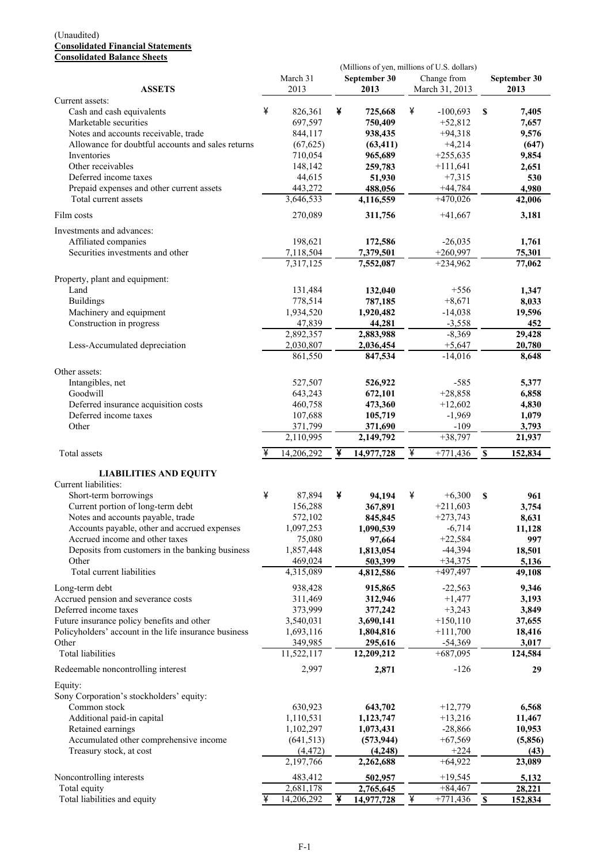#### (Unaudited) **Consolidated Financial Statements Consolidated Balance Sheets**

| <u>Consonuateu Dalance Sheets</u>                                                 |   |                      |   |                                                                     |   |                               |                    |                      |
|-----------------------------------------------------------------------------------|---|----------------------|---|---------------------------------------------------------------------|---|-------------------------------|--------------------|----------------------|
| <b>ASSETS</b>                                                                     |   | March 31<br>2013     |   | (Millions of yen, millions of U.S. dollars)<br>September 30<br>2013 |   | Change from<br>March 31, 2013 |                    | September 30<br>2013 |
| Current assets:                                                                   |   |                      |   |                                                                     |   |                               |                    |                      |
| Cash and cash equivalents                                                         | ¥ | 826,361              | ¥ | 725,668                                                             | ¥ | $-100,693$                    | S                  | 7,405                |
| Marketable securities                                                             |   | 697,597              |   | 750,409                                                             |   | $+52,812$                     |                    | 7,657                |
| Notes and accounts receivable, trade                                              |   | 844,117              |   | 938,435                                                             |   | $+94,318$                     |                    | 9,576                |
| Allowance for doubtful accounts and sales returns                                 |   | (67, 625)            |   | (63, 411)                                                           |   | $+4,214$                      |                    | (647)                |
| Inventories                                                                       |   | 710,054              |   | 965,689                                                             |   | $+255,635$                    |                    | 9,854                |
| Other receivables                                                                 |   | 148,142              |   | 259,783                                                             |   | $+111,641$                    |                    | 2,651                |
| Deferred income taxes                                                             |   | 44,615               |   | 51,930                                                              |   | $+7,315$                      |                    | 530                  |
| Prepaid expenses and other current assets                                         |   | 443,272              |   | 488,056                                                             |   | $+44,784$                     |                    | 4,980                |
| Total current assets                                                              |   | 3,646,533            |   | 4,116,559                                                           |   | $+470,026$                    |                    | 42,006               |
| Film costs                                                                        |   | 270,089              |   | 311,756                                                             |   | $+41,667$                     |                    | 3,181                |
| Investments and advances:                                                         |   |                      |   |                                                                     |   |                               |                    |                      |
| Affiliated companies                                                              |   | 198,621              |   | 172,586                                                             |   | $-26,035$                     |                    | 1,761                |
| Securities investments and other                                                  |   | 7,118,504            |   | 7,379,501                                                           |   | $+260,997$                    |                    | 75,301               |
|                                                                                   |   | 7,317,125            |   | 7,552,087                                                           |   | $+234,962$                    |                    | 77,062               |
|                                                                                   |   |                      |   |                                                                     |   |                               |                    |                      |
| Property, plant and equipment:                                                    |   |                      |   |                                                                     |   |                               |                    |                      |
| Land                                                                              |   | 131,484              |   | 132,040                                                             |   | $+556$                        |                    | 1,347                |
| <b>Buildings</b>                                                                  |   | 778,514              |   | 787,185                                                             |   | $+8,671$                      |                    | 8,033                |
| Machinery and equipment                                                           |   | 1,934,520            |   | 1,920,482                                                           |   | $-14,038$                     |                    | 19,596               |
| Construction in progress                                                          |   | 47,839               |   | 44,281                                                              |   | $-3,558$                      |                    | 452                  |
|                                                                                   |   | 2,892,357            |   | 2,883,988                                                           |   | $-8,369$                      |                    | 29,428               |
| Less-Accumulated depreciation                                                     |   | 2,030,807            |   | 2,036,454                                                           |   | $+5,647$                      |                    | 20,780               |
|                                                                                   |   | 861,550              |   | 847,534                                                             |   | $-14,016$                     |                    | 8,648                |
| Other assets:                                                                     |   |                      |   |                                                                     |   |                               |                    |                      |
| Intangibles, net                                                                  |   | 527,507              |   | 526,922                                                             |   | $-585$                        |                    | 5,377                |
| Goodwill                                                                          |   | 643,243              |   | 672,101                                                             |   | $+28,858$                     |                    | 6,858                |
| Deferred insurance acquisition costs                                              |   | 460,758              |   | 473,360                                                             |   | $+12,602$                     |                    | 4,830                |
| Deferred income taxes                                                             |   | 107,688              |   | 105,719                                                             |   | $-1,969$                      |                    | 1,079                |
| Other                                                                             |   | 371,799              |   | 371,690                                                             |   | $-109$                        |                    | 3,793                |
|                                                                                   |   | 2,110,995            |   | 2,149,792                                                           |   | $+38,797$                     |                    | 21,937               |
| Total assets                                                                      | ¥ | 14,206,292           | ¥ | 14,977,728                                                          | ¥ | $+771,436$                    | \$                 | 152,834              |
| <b>LIABILITIES AND EQUITY</b>                                                     |   |                      |   |                                                                     |   |                               |                    |                      |
| Current liabilities:                                                              |   |                      |   |                                                                     |   |                               |                    |                      |
| Short-term borrowings                                                             | ¥ | 87,894               | ¥ | 94,194                                                              | ¥ | $+6,300$                      | \$                 | 961                  |
| Current portion of long-term debt                                                 |   | 156,288              |   |                                                                     |   | $+211,603$                    |                    |                      |
|                                                                                   |   |                      |   | 367,891                                                             |   | $+273,743$                    |                    | 3,754                |
| Notes and accounts payable, trade<br>Accounts payable, other and accrued expenses |   | 572,102<br>1,097,253 |   | 845,845                                                             |   | $-6,714$                      |                    | 8,631                |
| Accrued income and other taxes                                                    |   |                      |   | 1,090,539                                                           |   |                               |                    | 11,128<br>997        |
| Deposits from customers in the banking business                                   |   | 75,080               |   | 97,664                                                              |   | $+22,584$                     |                    |                      |
| Other                                                                             |   | 1,857,448<br>469.024 |   | 1,813,054                                                           |   | $-44,394$                     |                    | 18,501               |
| Total current liabilities                                                         |   |                      |   | 503,399                                                             |   | $+34,375$                     |                    | 5,136                |
|                                                                                   |   | 4,315,089            |   | 4,812,586                                                           |   | $+497,497$                    |                    | 49,108               |
| Long-term debt                                                                    |   | 938,428              |   | 915,865                                                             |   | $-22,563$                     |                    | 9,346                |
| Accrued pension and severance costs                                               |   | 311,469              |   | 312,946                                                             |   | $+1,477$                      |                    | 3,193                |
| Deferred income taxes                                                             |   | 373,999              |   | 377,242                                                             |   | $+3,243$                      |                    | 3,849                |
| Future insurance policy benefits and other                                        |   | 3,540,031            |   | 3,690,141                                                           |   | $+150, 110$                   |                    | 37,655               |
| Policyholders' account in the life insurance business                             |   | 1,693,116            |   | 1,804,816                                                           |   | $+111,700$                    |                    | 18,416               |
| Other                                                                             |   | 349,985              |   | 295,616                                                             |   | $-54,369$                     |                    | 3,017                |
| Total liabilities                                                                 |   | 11,522,117           |   | 12,209,212                                                          |   | $+687,095$                    |                    | 124,584              |
| Redeemable noncontrolling interest                                                |   | 2,997                |   | 2,871                                                               |   | $-126$                        |                    | 29                   |
| Equity:                                                                           |   |                      |   |                                                                     |   |                               |                    |                      |
| Sony Corporation's stockholders' equity:                                          |   |                      |   |                                                                     |   |                               |                    |                      |
| Common stock                                                                      |   | 630,923              |   | 643,702                                                             |   | $+12,779$                     |                    | 6,568                |
| Additional paid-in capital                                                        |   | 1,110,531            |   | 1,123,747                                                           |   | $+13,216$                     |                    | 11,467               |
| Retained earnings                                                                 |   | 1,102,297            |   | 1,073,431                                                           |   | $-28,866$                     |                    | 10,953               |
| Accumulated other comprehensive income                                            |   | (641, 513)           |   | (573, 944)                                                          |   | $+67,569$                     |                    | (5,856)              |
| Treasury stock, at cost                                                           |   | (4, 472)             |   | (4,248)                                                             |   | $+224$                        |                    | (43)                 |
|                                                                                   |   | 2,197,766            |   | 2,262,688                                                           |   | $+64,922$                     |                    | 23,089               |
|                                                                                   |   |                      |   |                                                                     |   |                               |                    |                      |
| Noncontrolling interests                                                          |   | 483,412              |   | 502,957                                                             |   | $+19,545$                     |                    | 5,132                |
| Total equity                                                                      |   | 2,681,178            |   | 2,765,645                                                           |   | $+84,467$                     |                    | 28,221               |
| Total liabilities and equity                                                      | ¥ | 14,206,292           | ¥ | 14,977,728                                                          | ¥ | $+771,436$                    | $\pmb{\mathbb{S}}$ | 152,834              |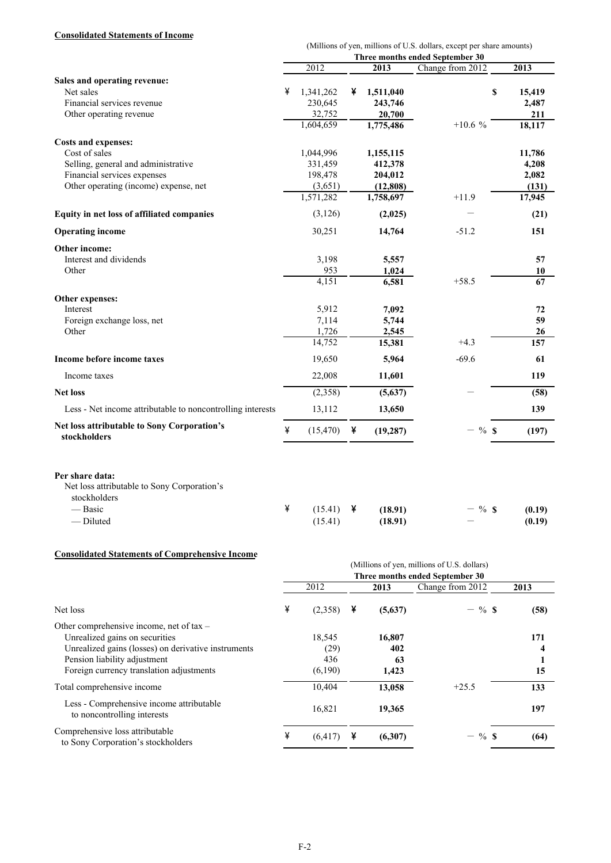### **Consolidated Statements of Income**

|                                                                                                        | (Millions of yen, millions of U.S. dollars, except per share amounts)<br>Three months ended September 30 |                    |   |                    |                  |                  |  |  |
|--------------------------------------------------------------------------------------------------------|----------------------------------------------------------------------------------------------------------|--------------------|---|--------------------|------------------|------------------|--|--|
|                                                                                                        |                                                                                                          | 2012               |   | 2013               | Change from 2012 | 2013             |  |  |
| Sales and operating revenue:                                                                           |                                                                                                          |                    |   |                    |                  |                  |  |  |
| Net sales                                                                                              | ¥                                                                                                        | 1,341,262          | ¥ | 1,511,040          | \$               | 15,419           |  |  |
| Financial services revenue                                                                             |                                                                                                          | 230,645            |   | 243,746            |                  | 2,487            |  |  |
| Other operating revenue                                                                                |                                                                                                          | 32,752             |   | 20,700             |                  | 211              |  |  |
|                                                                                                        |                                                                                                          | 1,604,659          |   | 1,775,486          | $+10.6%$         | 18,117           |  |  |
| Costs and expenses:                                                                                    |                                                                                                          |                    |   |                    |                  |                  |  |  |
| Cost of sales                                                                                          |                                                                                                          | 1,044,996          |   | 1,155,115          |                  | 11,786           |  |  |
| Selling, general and administrative                                                                    |                                                                                                          | 331,459            |   | 412,378            |                  | 4,208            |  |  |
| Financial services expenses                                                                            |                                                                                                          | 198,478            |   | 204,012            |                  | 2,082            |  |  |
| Other operating (income) expense, net                                                                  |                                                                                                          | (3,651)            |   | (12, 808)          |                  | (131)            |  |  |
|                                                                                                        |                                                                                                          | 1,571,282          |   | 1,758,697          | $+11.9$          | 17,945           |  |  |
| Equity in net loss of affiliated companies                                                             |                                                                                                          | (3, 126)           |   | (2,025)            |                  | (21)             |  |  |
| <b>Operating income</b>                                                                                |                                                                                                          | 30,251             |   | 14,764             | $-51.2$          | 151              |  |  |
| Other income:                                                                                          |                                                                                                          |                    |   |                    |                  |                  |  |  |
| Interest and dividends                                                                                 |                                                                                                          | 3,198              |   | 5,557              |                  | 57               |  |  |
| Other                                                                                                  |                                                                                                          | 953                |   | 1,024              |                  | 10               |  |  |
|                                                                                                        |                                                                                                          | 4,151              |   | 6,581              | $+58.5$          | 67               |  |  |
| Other expenses:                                                                                        |                                                                                                          |                    |   |                    |                  |                  |  |  |
| Interest                                                                                               |                                                                                                          | 5,912              |   | 7,092              |                  | 72               |  |  |
| Foreign exchange loss, net                                                                             |                                                                                                          | 7,114              |   | 5,744              |                  | 59               |  |  |
| Other                                                                                                  |                                                                                                          | 1,726              |   | 2,545              |                  | 26               |  |  |
|                                                                                                        |                                                                                                          | 14,752             |   | 15,381             | $+4.3$           | 157              |  |  |
| Income before income taxes                                                                             |                                                                                                          | 19,650             |   | 5,964              | $-69.6$          | 61               |  |  |
| Income taxes                                                                                           |                                                                                                          | 22,008             |   | 11,601             |                  | 119              |  |  |
| <b>Net loss</b>                                                                                        |                                                                                                          | (2,358)            |   | (5,637)            |                  | (58)             |  |  |
| Less - Net income attributable to noncontrolling interests                                             |                                                                                                          | 13,112             |   | 13,650             |                  | 139              |  |  |
| Net loss attributable to Sony Corporation's<br>stockholders                                            | ¥                                                                                                        | (15, 470)          | ¥ | (19, 287)          | $-$ % \$         | (197)            |  |  |
| Per share data:<br>Net loss attributable to Sony Corporation's<br>stockholders<br>— Basic<br>— Diluted | ¥                                                                                                        | (15.41)<br>(15.41) | ¥ | (18.91)<br>(18.91) | %S               | (0.19)<br>(0.19) |  |  |

### **Consolidated Statements of Comprehensive Income**

|                                                                                                                                                                                                                 | (Millions of yen, millions of U.S. dollars)<br>Three months ended September 30 |                                  |   |                              |                  |                |  |  |  |  |
|-----------------------------------------------------------------------------------------------------------------------------------------------------------------------------------------------------------------|--------------------------------------------------------------------------------|----------------------------------|---|------------------------------|------------------|----------------|--|--|--|--|
|                                                                                                                                                                                                                 |                                                                                | 2012                             |   | 2013                         | Change from 2012 | 2013           |  |  |  |  |
| Net loss                                                                                                                                                                                                        | ¥                                                                              | (2,358)                          | ¥ | (5,637)                      | $-$ % \$         | (58)           |  |  |  |  |
| Other comprehensive income, net of $tax -$<br>Unrealized gains on securities<br>Unrealized gains (losses) on derivative instruments<br>Pension liability adjustment<br>Foreign currency translation adjustments |                                                                                | 18,545<br>(29)<br>436<br>(6,190) |   | 16,807<br>402<br>63<br>1,423 |                  | 171<br>4<br>15 |  |  |  |  |
| Total comprehensive income                                                                                                                                                                                      |                                                                                | 10,404                           |   | 13,058                       | $+25.5$          | 133            |  |  |  |  |
| Less - Comprehensive income attributable<br>to noncontrolling interests                                                                                                                                         |                                                                                | 16,821                           |   | 19,365                       |                  | 197            |  |  |  |  |
| Comprehensive loss attributable<br>to Sony Corporation's stockholders                                                                                                                                           | ¥                                                                              | (6, 417)                         |   | (6,307)                      | $-$ % \$         | (64)           |  |  |  |  |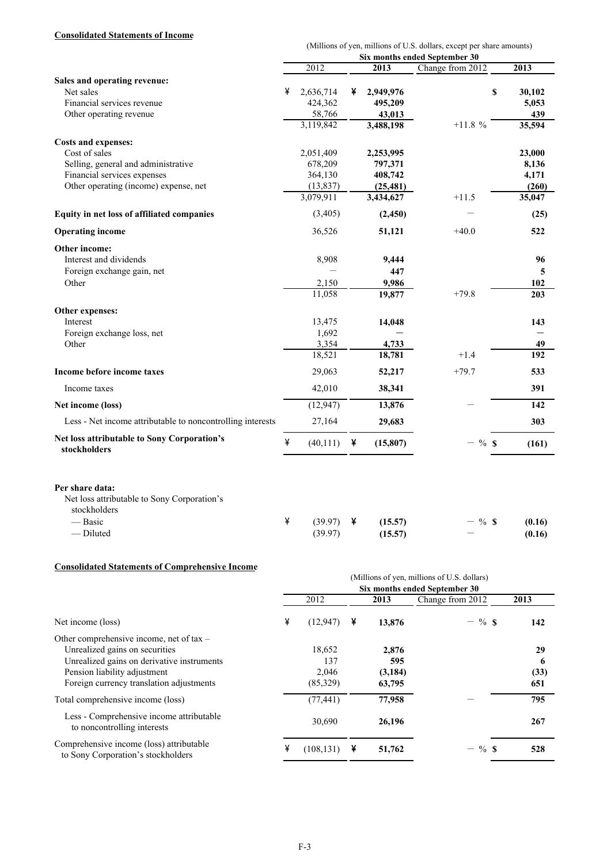#### **Consolidated Statements of Income**

| <u>Consonuateu statements of filcome</u>                                                               |   |                    |   |                    |                                                                       |                  |
|--------------------------------------------------------------------------------------------------------|---|--------------------|---|--------------------|-----------------------------------------------------------------------|------------------|
|                                                                                                        |   |                    |   |                    | (Millions of yen, millions of U.S. dollars, except per share amounts) |                  |
|                                                                                                        |   |                    |   |                    | Six months ended September 30                                         |                  |
|                                                                                                        |   | 2012               |   | 2013               | Change from 2012                                                      | 2013             |
| Sales and operating revenue:                                                                           |   |                    |   |                    |                                                                       |                  |
| Net sales                                                                                              | ¥ | 2,636,714          |   | 2,949,976          | \$                                                                    | 30,102           |
| Financial services revenue                                                                             |   | 424,362            |   | 495,209            |                                                                       | 5,053            |
| Other operating revenue                                                                                |   | 58,766             |   | 43,013             |                                                                       | 439              |
|                                                                                                        |   | 3,119,842          |   | 3,488,198          | $+11.8%$                                                              | 35,594           |
| Costs and expenses:                                                                                    |   |                    |   |                    |                                                                       |                  |
| Cost of sales                                                                                          |   | 2,051,409          |   | 2,253,995          |                                                                       | 23,000           |
| Selling, general and administrative                                                                    |   | 678,209            |   | 797,371            |                                                                       | 8,136            |
| Financial services expenses                                                                            |   | 364,130            |   | 408,742            |                                                                       | 4,171            |
| Other operating (income) expense, net                                                                  |   | (13, 837)          |   | (25, 481)          |                                                                       | (260)            |
|                                                                                                        |   | 3,079,911          |   | 3,434,627          | $+11.5$                                                               | 35,047           |
| Equity in net loss of affiliated companies                                                             |   | (3,405)            |   | (2,450)            |                                                                       | (25)             |
| <b>Operating income</b>                                                                                |   | 36,526             |   | 51,121             | $+40.0$                                                               | 522              |
| Other income:                                                                                          |   |                    |   |                    |                                                                       |                  |
| Interest and dividends                                                                                 |   | 8,908              |   | 9,444              |                                                                       | 96               |
| Foreign exchange gain, net                                                                             |   |                    |   | 447                |                                                                       | 5                |
| Other                                                                                                  |   | 2.150              |   | 9.986              |                                                                       | 102              |
|                                                                                                        |   | 11,058             |   | 19,877             | $+79.8$                                                               | 203              |
|                                                                                                        |   |                    |   |                    |                                                                       |                  |
| Other expenses:                                                                                        |   |                    |   |                    |                                                                       |                  |
| Interest                                                                                               |   | 13,475             |   | 14,048             |                                                                       | 143              |
| Foreign exchange loss, net<br>Other                                                                    |   | 1,692<br>3,354     |   |                    |                                                                       | 49               |
|                                                                                                        |   | 18,521             |   | 4,733<br>18,781    | $+1.4$                                                                | 192              |
|                                                                                                        |   |                    |   |                    |                                                                       |                  |
| Income before income taxes                                                                             |   | 29,063             |   | 52,217             | $+79.7$                                                               | 533              |
| Income taxes                                                                                           |   | 42,010             |   | 38,341             |                                                                       | 391              |
| Net income (loss)                                                                                      |   | (12, 947)          |   | 13,876             |                                                                       | 142              |
| Less - Net income attributable to noncontrolling interests                                             |   | 27,164             |   | 29,683             |                                                                       | 303              |
| Net loss attributable to Sony Corporation's<br>stockholders                                            | ¥ | (40, 111)          | ¥ | (15, 807)          | $-$ % \$                                                              | (161)            |
| Per share data:<br>Net loss attributable to Sony Corporation's<br>stockholders<br>— Basic<br>— Diluted | ¥ | (39.97)<br>(39.97) | ¥ | (15.57)<br>(15.57) | % S                                                                   | (0.16)<br>(0.16) |

### **Consolidated Statements of Comprehensive Income**

| Consonuattu stattintiits of Comprentisive Intoine                                                                                                                                                      | (Millions of yen, millions of U.S. dollars)<br>Six months ended September 30 |                                    |    |                                    |                  |                        |  |  |  |  |
|--------------------------------------------------------------------------------------------------------------------------------------------------------------------------------------------------------|------------------------------------------------------------------------------|------------------------------------|----|------------------------------------|------------------|------------------------|--|--|--|--|
|                                                                                                                                                                                                        |                                                                              | 2012                               |    | 2013                               | Change from 2012 | 2013                   |  |  |  |  |
| Net income (loss)                                                                                                                                                                                      | ¥                                                                            | (12,947)                           | ¥  | 13,876                             | $-$ % \$         | 142                    |  |  |  |  |
| Other comprehensive income, net of $tax -$<br>Unrealized gains on securities<br>Unrealized gains on derivative instruments<br>Pension liability adjustment<br>Foreign currency translation adjustments |                                                                              | 18,652<br>137<br>2,046<br>(85,329) |    | 2,876<br>595<br>(3, 184)<br>63,795 |                  | 29<br>6<br>(33)<br>651 |  |  |  |  |
| Total comprehensive income (loss)                                                                                                                                                                      |                                                                              | (77, 441)                          |    | 77,958                             |                  | 795                    |  |  |  |  |
| Less - Comprehensive income attributable<br>to noncontrolling interests                                                                                                                                |                                                                              | 30,690                             |    | 26,196                             |                  | 267                    |  |  |  |  |
| Comprehensive income (loss) attributable<br>to Sony Corporation's stockholders                                                                                                                         | ¥                                                                            | (108, 131)                         | —¥ | 51,762                             | $-$ % \$         | 528                    |  |  |  |  |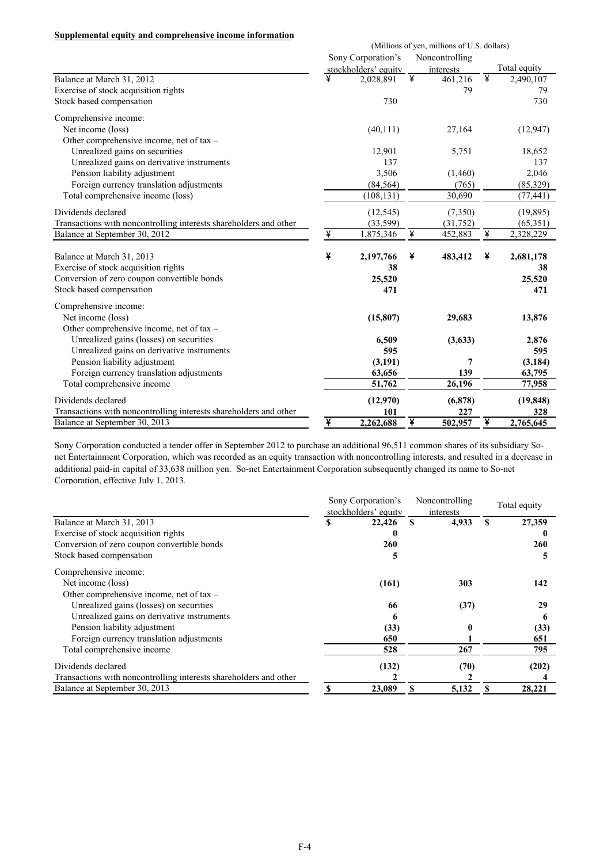|                                                                   |   |                      |   | (Millions of yen, millions of U.S. dollars) |   |              |
|-------------------------------------------------------------------|---|----------------------|---|---------------------------------------------|---|--------------|
|                                                                   |   | Sony Corporation's   |   | Noncontrolling                              |   |              |
|                                                                   |   | stockholders' equity |   | interests                                   |   | Total equity |
| Balance at March 31, 2012                                         | ¥ | 2,028,891            | ¥ | 461,216                                     | ¥ | 2,490,107    |
| Exercise of stock acquisition rights                              |   |                      |   | 79                                          |   | 79           |
| Stock based compensation                                          |   | 730                  |   |                                             |   | 730          |
| Comprehensive income:                                             |   |                      |   |                                             |   |              |
| Net income (loss)                                                 |   | (40, 111)            |   | 27,164                                      |   | (12, 947)    |
| Other comprehensive income, net of tax -                          |   |                      |   |                                             |   |              |
| Unrealized gains on securities                                    |   | 12,901               |   | 5,751                                       |   | 18,652       |
| Unrealized gains on derivative instruments                        |   | 137                  |   |                                             |   | 137          |
| Pension liability adjustment                                      |   | 3,506                |   | (1,460)                                     |   | 2,046        |
| Foreign currency translation adjustments                          |   | (84, 564)            |   | (765)                                       |   | (85, 329)    |
| Total comprehensive income (loss)                                 |   | (108, 131)           |   | 30,690                                      |   | (77, 441)    |
| Dividends declared                                                |   | (12, 545)            |   | (7, 350)                                    |   | (19, 895)    |
| Transactions with noncontrolling interests shareholders and other |   | (33, 599)            |   | (31,752)                                    |   | (65,351)     |
| Balance at September 30, 2012                                     | ¥ | 1,875,346            | ¥ | 452,883                                     | ¥ | 2,328,229    |
| Balance at March 31, 2013                                         | ¥ | 2,197,766            | ¥ | 483,412                                     | ¥ | 2,681,178    |
| Exercise of stock acquisition rights                              |   | 38                   |   |                                             |   | 38           |
| Conversion of zero coupon convertible bonds                       |   | 25,520               |   |                                             |   | 25,520       |
| Stock based compensation                                          |   | 471                  |   |                                             |   | 471          |
| Comprehensive income:                                             |   |                      |   |                                             |   |              |
| Net income (loss)                                                 |   | (15, 807)            |   | 29,683                                      |   | 13,876       |
| Other comprehensive income, net of tax -                          |   |                      |   |                                             |   |              |
| Unrealized gains (losses) on securities                           |   | 6,509                |   | (3, 633)                                    |   | 2,876        |
| Unrealized gains on derivative instruments                        |   | 595                  |   |                                             |   | 595          |
| Pension liability adjustment                                      |   | (3, 191)             |   | 7                                           |   | (3, 184)     |
| Foreign currency translation adjustments                          |   | 63,656               |   | 139                                         |   | 63,795       |
| Total comprehensive income                                        |   | 51,762               |   | 26,196                                      |   | 77,958       |
| Dividends declared                                                |   | (12,970)             |   | (6, 878)                                    |   | (19, 848)    |
| Transactions with noncontrolling interests shareholders and other |   | 101                  |   | 227                                         |   | 328          |
| Balance at September 30, 2013                                     | ¥ | 2,262,688            | ¥ | 502,957                                     | ¥ | 2,765,645    |

Sony Corporation conducted a tender offer in September 2012 to purchase an additional 96,511 common shares of its subsidiary Sonet Entertainment Corporation, which was recorded as an equity transaction with noncontrolling interests, and resulted in a decrease in additional paid-in capital of 33,638 million yen. So-net Entertainment Corporation subsequently changed its name to So-net Corporation, effective July 1, 2013.

|                                                                   |   | Sony Corporation's   |   | Noncontrolling |   | Total equity |
|-------------------------------------------------------------------|---|----------------------|---|----------------|---|--------------|
|                                                                   |   | stockholders' equity |   | interests      |   |              |
| Balance at March 31, 2013                                         | ъ | 22,426               | S | 4,933          | S | 27,359       |
| Exercise of stock acquisition rights                              |   | 0                    |   |                |   |              |
| Conversion of zero coupon convertible bonds                       |   | 260                  |   |                |   | 260          |
| Stock based compensation                                          |   |                      |   |                |   |              |
| Comprehensive income:                                             |   |                      |   |                |   |              |
| Net income (loss)                                                 |   | (161)                |   | 303            |   | 142          |
| Other comprehensive income, net of tax -                          |   |                      |   |                |   |              |
| Unrealized gains (losses) on securities                           |   | 66                   |   | (37)           |   | 29           |
| Unrealized gains on derivative instruments                        |   | 6                    |   |                |   |              |
| Pension liability adjustment                                      |   | (33)                 |   | 0              |   | (33)         |
| Foreign currency translation adjustments                          |   | 650                  |   |                |   | 651          |
| Total comprehensive income                                        |   | 528                  |   | 267            |   | 795          |
| Dividends declared                                                |   | (132)                |   | (70)           |   | (202)        |
| Transactions with noncontrolling interests shareholders and other |   |                      |   |                |   |              |
| Balance at September 30, 2013                                     |   | 23,089               |   | 5,132          |   | 28,221       |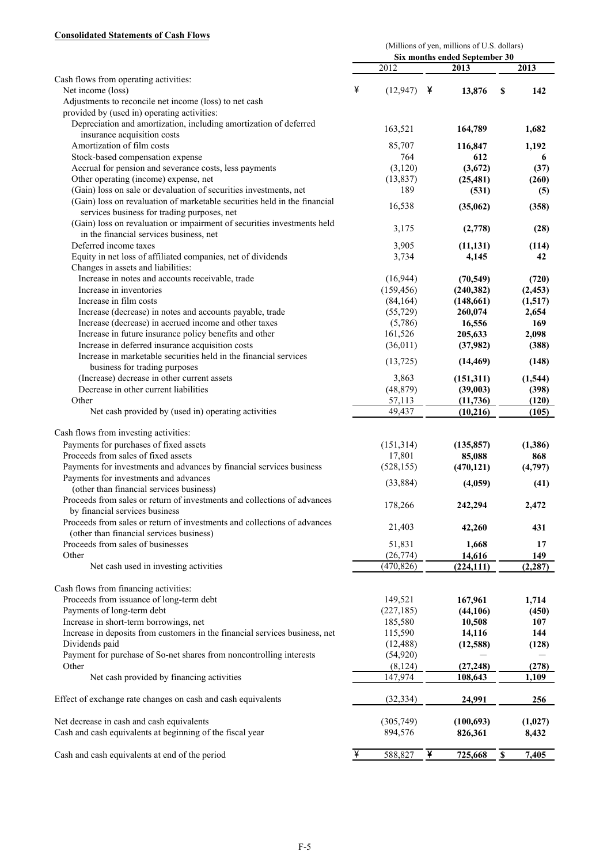### **Consolidated Statements of Cash Flows**

|                                                                             | (Millions of yen, millions of U.S. dollars) |               |   |                               |          |          |
|-----------------------------------------------------------------------------|---------------------------------------------|---------------|---|-------------------------------|----------|----------|
|                                                                             |                                             |               |   | Six months ended September 30 |          |          |
|                                                                             |                                             | 2012          |   | 2013                          |          | 2013     |
| Cash flows from operating activities:                                       |                                             |               |   |                               |          |          |
| Net income (loss)                                                           | ¥                                           | (12, 947)     | ¥ | 13,876                        | \$       | 142      |
| Adjustments to reconcile net income (loss) to net cash                      |                                             |               |   |                               |          |          |
| provided by (used in) operating activities:                                 |                                             |               |   |                               |          |          |
| Depreciation and amortization, including amortization of deferred           |                                             | 163,521       |   | 164,789                       |          | 1,682    |
| insurance acquisition costs                                                 |                                             |               |   |                               |          |          |
| Amortization of film costs                                                  |                                             | 85,707<br>764 |   | 116,847                       |          | 1,192    |
| Stock-based compensation expense                                            |                                             |               |   | 612                           |          | 6        |
| Accrual for pension and severance costs, less payments                      |                                             | (3, 120)      |   | (3,672)                       |          | (37)     |
| Other operating (income) expense, net                                       |                                             | (13, 837)     |   | (25, 481)                     |          | (260)    |
| (Gain) loss on sale or devaluation of securities investments, net           |                                             | 189           |   | (531)                         |          | (5)      |
| (Gain) loss on revaluation of marketable securities held in the financial   |                                             | 16,538        |   | (35,062)                      |          | (358)    |
| services business for trading purposes, net                                 |                                             |               |   |                               |          |          |
| (Gain) loss on revaluation or impairment of securities investments held     |                                             | 3,175         |   | (2,778)                       |          | (28)     |
| in the financial services business, net                                     |                                             |               |   |                               |          |          |
| Deferred income taxes                                                       |                                             | 3,905         |   | (11, 131)                     |          | (114)    |
| Equity in net loss of affiliated companies, net of dividends                |                                             | 3,734         |   | 4,145                         |          | 42       |
| Changes in assets and liabilities:                                          |                                             |               |   |                               |          |          |
| Increase in notes and accounts receivable, trade                            |                                             | (16, 944)     |   | (70, 549)                     |          | (720)    |
| Increase in inventories                                                     |                                             | (159, 456)    |   | (240, 382)                    |          | (2, 453) |
| Increase in film costs                                                      |                                             | (84, 164)     |   | (148, 661)                    |          | (1,517)  |
| Increase (decrease) in notes and accounts payable, trade                    |                                             | (55, 729)     |   | 260,074                       |          | 2,654    |
| Increase (decrease) in accrued income and other taxes                       |                                             | (5,786)       |   | 16,556                        |          | 169      |
| Increase in future insurance policy benefits and other                      |                                             | 161,526       |   | 205,633                       |          | 2,098    |
| Increase in deferred insurance acquisition costs                            |                                             | (36,011)      |   | (37,982)                      |          | (388)    |
| Increase in marketable securities held in the financial services            |                                             | (13, 725)     |   | (14, 469)                     |          | (148)    |
| business for trading purposes                                               |                                             |               |   |                               |          |          |
| (Increase) decrease in other current assets                                 |                                             | 3,863         |   | (151,311)                     |          | (1, 544) |
| Decrease in other current liabilities                                       |                                             | (48, 879)     |   | (39,003)                      |          | (398)    |
| Other                                                                       |                                             | 57,113        |   | (11, 736)                     |          | (120)    |
| Net cash provided by (used in) operating activities                         |                                             | 49,437        |   | (10, 216)                     |          | (105)    |
|                                                                             |                                             |               |   |                               |          |          |
| Cash flows from investing activities:                                       |                                             |               |   |                               |          |          |
| Payments for purchases of fixed assets                                      |                                             | (151, 314)    |   | (135, 857)                    |          | (1,386)  |
| Proceeds from sales of fixed assets                                         |                                             | 17,801        |   | 85,088                        |          | 868      |
| Payments for investments and advances by financial services business        |                                             | (528, 155)    |   | (470, 121)                    |          | (4,797)  |
| Payments for investments and advances                                       |                                             | (33, 884)     |   | (4,059)                       |          | (41)     |
| (other than financial services business)                                    |                                             |               |   |                               |          |          |
| Proceeds from sales or return of investments and collections of advances    |                                             | 178,266       |   | 242,294                       |          | 2,472    |
| by financial services business                                              |                                             |               |   |                               |          |          |
| Proceeds from sales or return of investments and collections of advances    |                                             | 21,403        |   | 42,260                        |          | 431      |
| (other than financial services business)                                    |                                             |               |   |                               |          |          |
| Proceeds from sales of businesses                                           |                                             | 51,831        |   | 1,668                         |          | 17       |
| Other                                                                       |                                             | (26,774)      |   | 14,616                        |          | 149      |
| Net cash used in investing activities                                       |                                             | (470, 826)    |   | (224, 111)                    |          | (2, 287) |
|                                                                             |                                             |               |   |                               |          |          |
| Cash flows from financing activities:                                       |                                             |               |   |                               |          |          |
| Proceeds from issuance of long-term debt                                    |                                             | 149,521       |   | 167,961                       |          | 1,714    |
| Payments of long-term debt                                                  |                                             | (227, 185)    |   | (44, 106)                     |          | (450)    |
| Increase in short-term borrowings, net                                      |                                             | 185,580       |   | 10,508                        |          | 107      |
| Increase in deposits from customers in the financial services business, net |                                             | 115,590       |   | 14,116                        |          | 144      |
| Dividends paid                                                              |                                             | (12, 488)     |   | (12,588)                      |          | (128)    |
| Payment for purchase of So-net shares from noncontrolling interests         |                                             | (54, 920)     |   |                               |          |          |
| Other                                                                       |                                             | (8, 124)      |   | (27, 248)                     |          | (278)    |
| Net cash provided by financing activities                                   |                                             | 147,974       |   | 108,643                       |          | 1,109    |
|                                                                             |                                             |               |   |                               |          |          |
| Effect of exchange rate changes on cash and cash equivalents                |                                             | (32, 334)     |   | 24,991                        |          | 256      |
|                                                                             |                                             |               |   |                               |          |          |
| Net decrease in cash and cash equivalents                                   |                                             | (305,749)     |   | (100, 693)                    |          | (1,027)  |
| Cash and cash equivalents at beginning of the fiscal year                   |                                             | 894,576       |   | 826,361                       |          | 8,432    |
|                                                                             |                                             |               |   |                               |          |          |
| Cash and cash equivalents at end of the period                              | ¥                                           | 588,827       | ¥ | 725,668                       | <b>S</b> | 7,405    |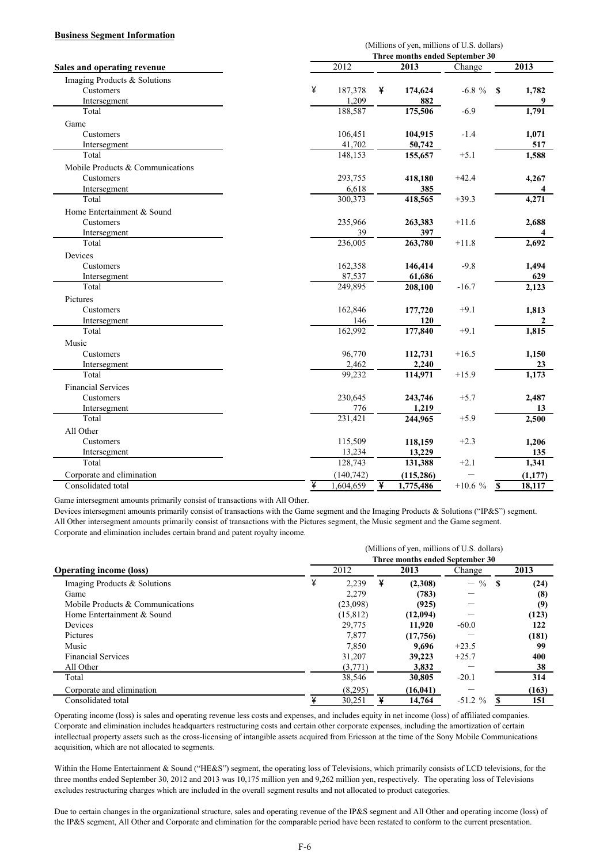#### **Business Segment Information**

|                                  | (Millions of yen, millions of U.S. dollars)<br>Three months ended September 30 |                      |   |            |            |                           |         |  |  |  |
|----------------------------------|--------------------------------------------------------------------------------|----------------------|---|------------|------------|---------------------------|---------|--|--|--|
| Sales and operating revenue      |                                                                                | 2012                 |   | 2013       | Change     |                           |         |  |  |  |
| Imaging Products & Solutions     |                                                                                |                      |   |            |            |                           | 2013    |  |  |  |
| Customers                        | ¥                                                                              | 187,378              | ¥ | 174,624    | $-6.8 \%$  | S                         | 1,782   |  |  |  |
| Intersegment                     |                                                                                | 1,209                |   | 882        |            |                           | 9       |  |  |  |
| Total                            |                                                                                | 188,587              |   | 175,506    | $-6.9$     |                           | 1,791   |  |  |  |
| Game                             |                                                                                |                      |   |            |            |                           |         |  |  |  |
| Customers                        |                                                                                | 106,451              |   | 104,915    | $-1.4$     |                           | 1,071   |  |  |  |
| Intersegment                     |                                                                                | 41,702               |   | 50,742     |            |                           | 517     |  |  |  |
| Total                            |                                                                                | 148,153              |   | 155,657    | $+5.1$     |                           | 1,588   |  |  |  |
| Mobile Products & Communications |                                                                                |                      |   |            |            |                           |         |  |  |  |
| Customers                        |                                                                                | 293,755              |   | 418,180    | $+42.4$    |                           | 4,267   |  |  |  |
| Intersegment                     |                                                                                | 6,618                |   | 385        |            |                           |         |  |  |  |
| Total                            |                                                                                | 300,373              |   | 418,565    | $+39.3$    |                           | 4,271   |  |  |  |
| Home Entertainment & Sound       |                                                                                |                      |   |            |            |                           |         |  |  |  |
| Customers                        |                                                                                | 235,966              |   | 263,383    | $+11.6$    |                           | 2,688   |  |  |  |
| Intersegment                     |                                                                                | 39                   |   | 397        |            |                           | 4       |  |  |  |
| Total                            |                                                                                | 236,005              |   | 263,780    | $+11.8$    |                           | 2,692   |  |  |  |
| Devices                          |                                                                                |                      |   |            |            |                           |         |  |  |  |
| Customers                        |                                                                                | 162,358              |   | 146,414    | $-9.8$     |                           | 1,494   |  |  |  |
| Intersegment                     |                                                                                | 87,537               |   | 61,686     |            |                           | 629     |  |  |  |
| Total                            |                                                                                | 249,895              |   | 208,100    | $-16.7$    |                           | 2,123   |  |  |  |
| Pictures                         |                                                                                |                      |   |            |            |                           |         |  |  |  |
| Customers                        |                                                                                | 162,846              |   | 177,720    | $+9.1$     |                           | 1,813   |  |  |  |
| Intersegment                     |                                                                                | 146                  |   | 120        |            |                           | 2       |  |  |  |
| Total                            |                                                                                | 162,992              |   | 177,840    | $+9.1$     |                           | 1,815   |  |  |  |
| Music                            |                                                                                |                      |   |            |            |                           |         |  |  |  |
| Customers                        |                                                                                | 96,770               |   | 112,731    | $+16.5$    |                           | 1,150   |  |  |  |
| Intersegment                     |                                                                                | 2,462                |   | 2,240      |            |                           | 23      |  |  |  |
| Total                            |                                                                                | 99,232               |   | 114,971    | $+15.9$    |                           | 1,173   |  |  |  |
| <b>Financial Services</b>        |                                                                                |                      |   |            |            |                           |         |  |  |  |
| Customers                        |                                                                                | 230,645              |   | 243,746    | $+5.7$     |                           | 2,487   |  |  |  |
| Intersegment                     |                                                                                | 776                  |   | 1,219      |            |                           | 13      |  |  |  |
| Total                            |                                                                                | $\overline{231,}421$ |   | 244,965    | $+5.9$     |                           | 2,500   |  |  |  |
| All Other                        |                                                                                |                      |   |            |            |                           |         |  |  |  |
| Customers                        |                                                                                | 115,509              |   | 118,159    | $+2.3$     |                           | 1,206   |  |  |  |
| Intersegment                     |                                                                                | 13,234               |   | 13,229     |            |                           | 135     |  |  |  |
| Total                            |                                                                                | 128,743              |   | 131,388    | $+2.1$     |                           | 1,341   |  |  |  |
| Corporate and elimination        |                                                                                | (140, 742)           |   | (115, 286) |            |                           | (1,177) |  |  |  |
| Consolidated total               | ¥                                                                              | 1,604,659            | ¥ | 1,775,486  | $+10.6~\%$ | $\boldsymbol{\mathsf{S}}$ | 18,117  |  |  |  |

Game intersegment amounts primarily consist of transactions with All Other.

Devices intersegment amounts primarily consist of transactions with the Game segment and the Imaging Products & Solutions ("IP&S") segment. All Other intersegment amounts primarily consist of transactions with the Pictures segment, the Music segment and the Game segment. Corporate and elimination includes certain brand and patent royalty income.

|                                  | (Millions of yen, millions of U.S. dollars)<br>Three months ended September 30 |           |   |           |            |    |       |  |  |  |
|----------------------------------|--------------------------------------------------------------------------------|-----------|---|-----------|------------|----|-------|--|--|--|
|                                  |                                                                                |           |   |           |            |    |       |  |  |  |
| <b>Operating income (loss)</b>   |                                                                                | 2012      |   | 2013      | Change     |    | 2013  |  |  |  |
| Imaging Products & Solutions     | ¥                                                                              | 2,239     | ¥ | (2,308)   | $-$ %      | -S | (24)  |  |  |  |
| Game                             |                                                                                | 2.279     |   | (783)     |            |    | (8)   |  |  |  |
| Mobile Products & Communications |                                                                                | (23,098)  |   | (925)     |            |    | (9)   |  |  |  |
| Home Entertainment & Sound       |                                                                                | (15, 812) |   | (12,094)  |            |    | (123) |  |  |  |
| Devices                          |                                                                                | 29,775    |   | 11.920    | $-60.0$    |    | 122   |  |  |  |
| Pictures                         |                                                                                | 7.877     |   | (17,756)  |            |    | (181) |  |  |  |
| Music                            |                                                                                | 7,850     |   | 9,696     | $+23.5$    |    | 99    |  |  |  |
| <b>Financial Services</b>        |                                                                                | 31,207    |   | 39,223    | $+25.7$    |    | 400   |  |  |  |
| All Other                        |                                                                                | (3,771)   |   | 3,832     |            |    | 38    |  |  |  |
| Total                            |                                                                                | 38,546    |   | 30.805    | $-20.1$    |    | 314   |  |  |  |
| Corporate and elimination        |                                                                                | (8,295)   |   | (16, 041) |            |    | (163) |  |  |  |
| Consolidated total               |                                                                                | 30.251    |   | 14.764    | $-51.2 \%$ |    | 151   |  |  |  |

Operating income (loss) is sales and operating revenue less costs and expenses, and includes equity in net income (loss) of affiliated companies. Corporate and elimination includes headquarters restructuring costs and certain other corporate expenses, including the amortization of certain intellectual property assets such as the cross-licensing of intangible assets acquired from Ericsson at the time of the Sony Mobile Communications acquisition, which are not allocated to segments.

Within the Home Entertainment & Sound ("HE&S") segment, the operating loss of Televisions, which primarily consists of LCD televisions, for the three months ended September 30, 2012 and 2013 was 10,175 million yen and 9,262 million yen, respectively. The operating loss of Televisions excludes restructuring charges which are included in the overall segment results and not allocated to product categories.

Due to certain changes in the organizational structure, sales and operating revenue of the IP&S segment and All Other and operating income (loss) of the IP&S segment, All Other and Corporate and elimination for the comparable period have been restated to conform to the current presentation.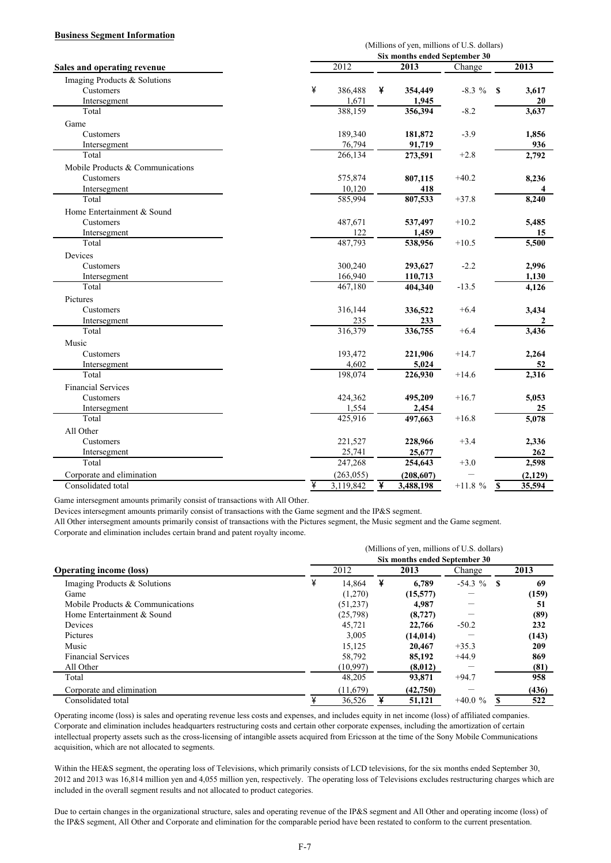#### **Business Segment Information**

|                                  |   |            |   | (Millions of yen, millions of U.S. dollars) |           |             |              |
|----------------------------------|---|------------|---|---------------------------------------------|-----------|-------------|--------------|
|                                  |   |            |   | Six months ended September 30               |           |             |              |
| Sales and operating revenue      |   | 2012       |   | 2013                                        | Change    |             | 2013         |
| Imaging Products & Solutions     |   |            |   |                                             |           |             |              |
| Customers                        | ¥ | 386,488    | ¥ | 354,449                                     | $-8.3 \%$ | S           | 3,617        |
| Intersegment                     |   | 1,671      |   | 1,945                                       |           |             | 20           |
| Total                            |   | 388,159    |   | 356,394                                     | $-8.2$    |             | 3,637        |
| Game                             |   |            |   |                                             |           |             |              |
| Customers                        |   | 189,340    |   | 181,872                                     | $-3.9$    |             | 1,856        |
| Intersegment                     |   | 76,794     |   | 91,719                                      |           |             | 936          |
| Total                            |   | 266, 134   |   | 273,591                                     | $+2.8$    |             | 2,792        |
| Mobile Products & Communications |   |            |   |                                             |           |             |              |
| Customers                        |   | 575,874    |   | 807,115                                     | $+40.2$   |             | 8,236        |
| Intersegment                     |   | 10,120     |   | 418                                         |           |             | 4            |
| Total                            |   | 585,994    |   | 807,533                                     | $+37.8$   |             | 8,240        |
| Home Entertainment & Sound       |   |            |   |                                             |           |             |              |
| Customers                        |   | 487,671    |   | 537,497                                     | $+10.2$   |             | 5,485        |
| Intersegment                     |   | 122        |   | 1,459                                       |           |             | 15           |
| Total                            |   | 487,793    |   | 538,956                                     | $+10.5$   |             | 5,500        |
| Devices                          |   |            |   |                                             |           |             |              |
| Customers                        |   | 300,240    |   | 293,627                                     | $-2.2$    |             | 2,996        |
| Intersegment                     |   | 166,940    |   | 110,713                                     |           |             | 1,130        |
| Total                            |   | 467,180    |   | $\overline{404,}340$                        | $-13.5$   |             | 4,126        |
| Pictures                         |   |            |   |                                             |           |             |              |
| Customers                        |   | 316,144    |   | 336,522                                     | $+6.4$    |             | 3,434        |
| Intersegment                     |   | 235        |   | 233                                         |           |             | $\mathbf{2}$ |
| Total                            |   | 316,379    |   | 336,755                                     | $+6.4$    |             | 3,436        |
| Music                            |   |            |   |                                             |           |             |              |
| Customers                        |   | 193,472    |   | 221,906                                     | $+14.7$   |             | 2,264        |
| Intersegment                     |   | 4,602      |   | 5,024                                       |           |             | 52           |
| Total                            |   | 198,074    |   | 226,930                                     | $+14.6$   |             | 2,316        |
| <b>Financial Services</b>        |   |            |   |                                             |           |             |              |
| Customers                        |   | 424,362    |   | 495,209                                     | $+16.7$   |             | 5,053        |
| Intersegment                     |   | 1,554      |   | 2,454                                       |           |             | 25           |
| Total                            |   | 425,916    |   | 497,663                                     | $+16.8$   |             | 5,078        |
| All Other                        |   |            |   |                                             |           |             |              |
| Customers                        |   | 221,527    |   | 228,966                                     | $+3.4$    |             | 2,336        |
| Intersegment                     |   | 25,741     |   | 25,677                                      |           |             | 262          |
| Total                            |   | 247,268    |   | 254,643                                     | $+3.0$    |             | 2,598        |
| Corporate and elimination        |   | (263, 055) |   | (208,607)                                   |           |             | (2,129)      |
| Consolidated total               | ¥ | 3,119,842  | ¥ | 3,488,198                                   | $+11.8%$  | $\mathbf S$ | 35,594       |

Game intersegment amounts primarily consist of transactions with All Other.

Devices intersegment amounts primarily consist of transactions with the Game segment and the IP&S segment.

All Other intersegment amounts primarily consist of transactions with the Pictures segment, the Music segment and the Game segment. Corporate and elimination includes certain brand and patent royalty income.

|                                  |   |           |   | (Millions of yen, millions of U.S. dollars) |               |       |
|----------------------------------|---|-----------|---|---------------------------------------------|---------------|-------|
|                                  |   |           |   | Six months ended September 30               |               |       |
| <b>Operating income (loss)</b>   |   | 2012      |   | 2013                                        | Change        | 2013  |
| Imaging Products & Solutions     | ¥ | 14.864    | ¥ | 6,789                                       | $-54.3 \%$ \$ | 69    |
| Game                             |   | (1,270)   |   | (15,577)                                    |               | (159) |
| Mobile Products & Communications |   | (51, 237) |   | 4,987                                       |               | 51    |
| Home Entertainment & Sound       |   | (25,798)  |   | (8, 727)                                    |               | (89)  |
| Devices                          |   | 45,721    |   | 22,766                                      | $-50.2$       | 232   |
| Pictures                         |   | 3.005     |   | (14, 014)                                   |               | (143) |
| Music                            |   | 15,125    |   | 20,467                                      | $+35.3$       | 209   |
| <b>Financial Services</b>        |   | 58,792    |   | 85,192                                      | $+44.9$       | 869   |
| All Other                        |   | (10,997)  |   | (8,012)                                     |               | (81)  |
| Total                            |   | 48,205    |   | 93,871                                      | $+94.7$       | 958   |
| Corporate and elimination        |   | (11,679)  |   | (42,750)                                    |               | (436) |
| Consolidated total               |   | 36,526    | ¥ | 51,121                                      | $+40.0%$      | 522   |

Operating income (loss) is sales and operating revenue less costs and expenses, and includes equity in net income (loss) of affiliated companies. Corporate and elimination includes headquarters restructuring costs and certain other corporate expenses, including the amortization of certain intellectual property assets such as the cross-licensing of intangible assets acquired from Ericsson at the time of the Sony Mobile Communications acquisition, which are not allocated to segments.

Within the HE&S segment, the operating loss of Televisions, which primarily consists of LCD televisions, for the six months ended September 30, 2012 and 2013 was 16,814 million yen and 4,055 million yen, respectively. The operating loss of Televisions excludes restructuring charges which are included in the overall segment results and not allocated to product categories.

Due to certain changes in the organizational structure, sales and operating revenue of the IP&S segment and All Other and operating income (loss) of the IP&S segment, All Other and Corporate and elimination for the comparable period have been restated to conform to the current presentation.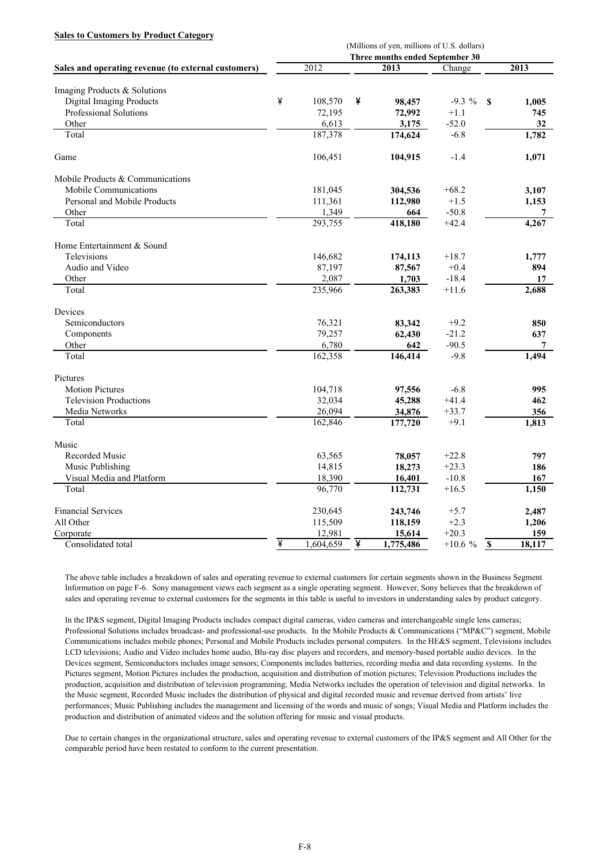#### **Sales to Customers by Product Category**

|                                                     |   |           | (Millions of yen, millions of U.S. dollars)<br>Three months ended September 30 |           |           |    |        |  |  |
|-----------------------------------------------------|---|-----------|--------------------------------------------------------------------------------|-----------|-----------|----|--------|--|--|
|                                                     |   |           |                                                                                |           |           |    |        |  |  |
| Sales and operating revenue (to external customers) |   | 2012      |                                                                                | 2013      | Change    |    | 2013   |  |  |
| Imaging Products & Solutions                        |   |           |                                                                                |           |           |    |        |  |  |
| <b>Digital Imaging Products</b>                     | ¥ | 108,570   | ¥                                                                              | 98,457    | $-9.3 \%$ | \$ | 1,005  |  |  |
| <b>Professional Solutions</b>                       |   | 72,195    |                                                                                | 72,992    | $+1.1$    |    | 745    |  |  |
| Other                                               |   | 6,613     |                                                                                | 3,175     | $-52.0$   |    | 32     |  |  |
| Total                                               |   | 187,378   |                                                                                | 174,624   | $-6.8$    |    | 1,782  |  |  |
| Game                                                |   | 106,451   |                                                                                | 104,915   | $-1.4$    |    | 1,071  |  |  |
| Mobile Products & Communications                    |   |           |                                                                                |           |           |    |        |  |  |
| Mobile Communications                               |   | 181,045   |                                                                                | 304,536   | $+68.2$   |    | 3,107  |  |  |
| Personal and Mobile Products                        |   | 111,361   |                                                                                | 112,980   | $+1.5$    |    | 1,153  |  |  |
| Other                                               |   | 1,349     |                                                                                | 664       | $-50.8$   |    | 7      |  |  |
| Total                                               |   | 293,755   |                                                                                | 418,180   | $+42.4$   |    | 4,267  |  |  |
| Home Entertainment & Sound                          |   |           |                                                                                |           |           |    |        |  |  |
| <b>Televisions</b>                                  |   | 146,682   |                                                                                | 174,113   | $+18.7$   |    | 1,777  |  |  |
| Audio and Video                                     |   | 87,197    |                                                                                | 87,567    | $+0.4$    |    | 894    |  |  |
| Other                                               |   | 2,087     |                                                                                | 1,703     | $-18.4$   |    | 17     |  |  |
| Total                                               |   | 235,966   |                                                                                | 263,383   | $+11.6$   |    | 2,688  |  |  |
| Devices                                             |   |           |                                                                                |           |           |    |        |  |  |
| Semiconductors                                      |   | 76,321    |                                                                                | 83,342    | $+9.2$    |    | 850    |  |  |
| Components                                          |   | 79,257    |                                                                                | 62,430    | $-21.2$   |    | 637    |  |  |
| Other                                               |   | 6,780     |                                                                                | 642       | $-90.5$   |    | 7      |  |  |
| Total                                               |   | 162,358   |                                                                                | 146,414   | $-9.8$    |    | 1,494  |  |  |
| Pictures                                            |   |           |                                                                                |           |           |    |        |  |  |
| <b>Motion Pictures</b>                              |   | 104,718   |                                                                                | 97,556    | $-6.8$    |    | 995    |  |  |
| <b>Television Productions</b>                       |   | 32,034    |                                                                                | 45,288    | $+41.4$   |    | 462    |  |  |
| Media Networks                                      |   | 26,094    |                                                                                | 34,876    | $+33.7$   |    | 356    |  |  |
| Total                                               |   | 162,846   |                                                                                | 177,720   | $+9.1$    |    | 1,813  |  |  |
| Music                                               |   |           |                                                                                |           |           |    |        |  |  |
| Recorded Music                                      |   | 63,565    |                                                                                | 78,057    | $+22.8$   |    | 797    |  |  |
| Music Publishing                                    |   | 14,815    |                                                                                | 18,273    | $+23.3$   |    | 186    |  |  |
| Visual Media and Platform                           |   | 18,390    |                                                                                | 16,401    | $-10.8$   |    | 167    |  |  |
| Total                                               |   | 96,770    |                                                                                | 112,731   | $+16.5$   |    | 1,150  |  |  |
| <b>Financial Services</b>                           |   | 230,645   |                                                                                | 243,746   | $+5.7$    |    | 2,487  |  |  |
| All Other                                           |   | 115,509   |                                                                                | 118,159   | $+2.3$    |    | 1,206  |  |  |
| Corporate                                           |   | 12,981    |                                                                                | 15,614    | $+20.3$   |    | 159    |  |  |
| Consolidated total                                  | ¥ | 1,604,659 | ¥                                                                              | 1,775,486 | $+10.6%$  | S  | 18,117 |  |  |

The above table includes a breakdown of sales and operating revenue to external customers for certain segments shown in the Business Segment Information on page F-6. Sony management views each segment as a single operating segment. However, Sony believes that the breakdown of sales and operating revenue to external customers for the segments in this table is useful to investors in understanding sales by product category.

In the IP&S segment, Digital Imaging Products includes compact digital cameras, video cameras and interchangeable single lens cameras; Professional Solutions includes broadcast- and professional-use products. In the Mobile Products & Communications ("MP&C") segment, Mobile Communications includes mobile phones; Personal and Mobile Products includes personal computers. In the HE&S segment, Televisions includes LCD televisions; Audio and Video includes home audio, Blu-ray disc players and recorders, and memory-based portable audio devices. In the Devices segment, Semiconductors includes image sensors; Components includes batteries, recording media and data recording systems. In the Pictures segment, Motion Pictures includes the production, acquisition and distribution of motion pictures; Television Productions includes the production, acquisition and distribution of television programming; Media Networks includes the operation of television and digital networks. In the Music segment, Recorded Music includes the distribution of physical and digital recorded music and revenue derived from artists' live performances; Music Publishing includes the management and licensing of the words and music of songs; Visual Media and Platform includes the production and distribution of animated videos and the solution offering for music and visual products.

Due to certain changes in the organizational structure, sales and operating revenue to external customers of the IP&S segment and All Other for the comparable period have been restated to conform to the current presentation.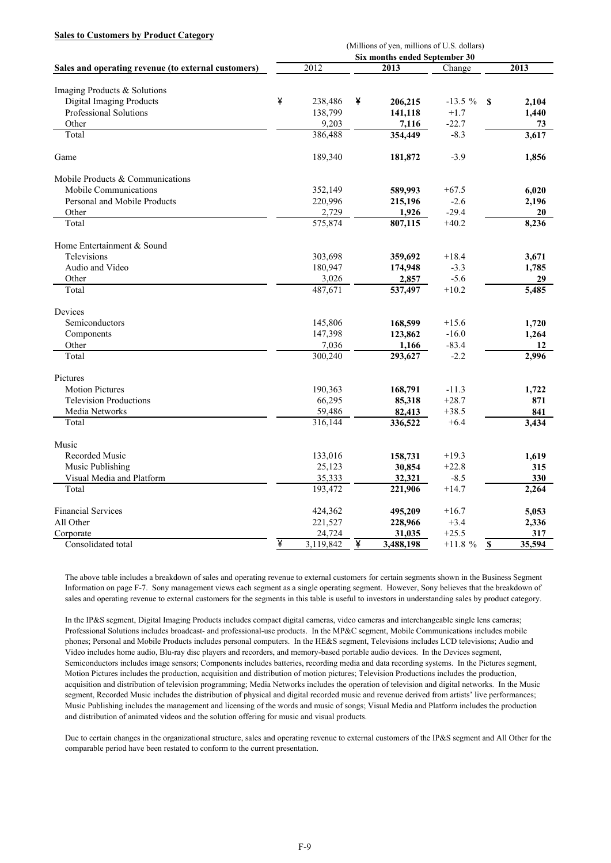#### **Sales to Customers by Product Category**

| (Millions of yen, millions of U.S. dollars)<br>Six months ended September 30 |   |           |   |           |            |    |        |
|------------------------------------------------------------------------------|---|-----------|---|-----------|------------|----|--------|
|                                                                              |   |           |   |           |            |    |        |
| Sales and operating revenue (to external customers)                          |   | 2012      |   | 2013      | Change     |    | 2013   |
| Imaging Products & Solutions                                                 |   |           |   |           |            |    |        |
| <b>Digital Imaging Products</b>                                              | ¥ | 238,486   | ¥ | 206,215   | $-13.5 \%$ | \$ | 2,104  |
| <b>Professional Solutions</b>                                                |   | 138,799   |   | 141,118   | $+1.7$     |    | 1,440  |
| Other                                                                        |   | 9,203     |   | 7,116     | $-22.7$    |    | 73     |
| Total                                                                        |   | 386,488   |   | 354,449   | $-8.3$     |    | 3,617  |
| Game                                                                         |   | 189,340   |   | 181,872   | $-3.9$     |    | 1,856  |
| Mobile Products & Communications                                             |   |           |   |           |            |    |        |
| Mobile Communications                                                        |   | 352,149   |   | 589,993   | $+67.5$    |    | 6,020  |
| Personal and Mobile Products                                                 |   | 220,996   |   | 215,196   | $-2.6$     |    | 2,196  |
| Other                                                                        |   | 2,729     |   | 1,926     | $-29.4$    |    | 20     |
| Total                                                                        |   | 575,874   |   | 807,115   | $+40.2$    |    | 8,236  |
| Home Entertainment & Sound                                                   |   |           |   |           |            |    |        |
| Televisions                                                                  |   | 303,698   |   | 359,692   | $+18.4$    |    | 3,671  |
| Audio and Video                                                              |   | 180,947   |   | 174,948   | $-3.3$     |    | 1,785  |
| Other                                                                        |   | 3,026     |   | 2,857     | $-5.6$     |    | 29     |
| Total                                                                        |   | 487,671   |   | 537,497   | $+10.2$    |    | 5,485  |
| Devices                                                                      |   |           |   |           |            |    |        |
| Semiconductors                                                               |   | 145,806   |   | 168,599   | $+15.6$    |    | 1,720  |
| Components                                                                   |   | 147,398   |   | 123,862   | $-16.0$    |    | 1,264  |
| Other                                                                        |   | 7,036     |   | 1,166     | $-83.4$    |    | 12     |
| Total                                                                        |   | 300,240   |   | 293,627   | $-2.2$     |    | 2,996  |
| Pictures                                                                     |   |           |   |           |            |    |        |
| <b>Motion Pictures</b>                                                       |   | 190,363   |   | 168,791   | $-11.3$    |    | 1,722  |
| <b>Television Productions</b>                                                |   | 66,295    |   | 85,318    | $+28.7$    |    | 871    |
| Media Networks                                                               |   | 59,486    |   | 82,413    | $+38.5$    |    | 841    |
| Total                                                                        |   | 316,144   |   | 336,522   | $+6.4$     |    | 3,434  |
| Music                                                                        |   |           |   |           |            |    |        |
| Recorded Music                                                               |   | 133,016   |   | 158,731   | $+19.3$    |    | 1,619  |
| Music Publishing                                                             |   | 25,123    |   | 30,854    | $+22.8$    |    | 315    |
| Visual Media and Platform                                                    |   | 35,333    |   | 32,321    | $-8.5$     |    | 330    |
| Total                                                                        |   | 193,472   |   | 221,906   | $+14.7$    |    | 2,264  |
| <b>Financial Services</b>                                                    |   | 424,362   |   | 495,209   | $+16.7$    |    | 5,053  |
| All Other                                                                    |   | 221,527   |   | 228,966   | $+3.4$     |    | 2,336  |
| Corporate                                                                    |   | 24,724    |   | 31,035    | $+25.5$    |    | 317    |
| Consolidated total                                                           | ¥ | 3.119.842 | ¥ | 3,488,198 | $+11.8%$   | S  | 35,594 |

The above table includes a breakdown of sales and operating revenue to external customers for certain segments shown in the Business Segment Information on page F-7. Sony management views each segment as a single operating segment. However, Sony believes that the breakdown of sales and operating revenue to external customers for the segments in this table is useful to investors in understanding sales by product category.

In the IP&S segment, Digital Imaging Products includes compact digital cameras, video cameras and interchangeable single lens cameras; Professional Solutions includes broadcast- and professional-use products. In the MP&C segment, Mobile Communications includes mobile phones; Personal and Mobile Products includes personal computers. In the HE&S segment, Televisions includes LCD televisions; Audio and Video includes home audio, Blu-ray disc players and recorders, and memory-based portable audio devices. In the Devices segment, Semiconductors includes image sensors; Components includes batteries, recording media and data recording systems. In the Pictures segment, Motion Pictures includes the production, acquisition and distribution of motion pictures; Television Productions includes the production, acquisition and distribution of television programming; Media Networks includes the operation of television and digital networks. In the Music segment, Recorded Music includes the distribution of physical and digital recorded music and revenue derived from artists' live performances; Music Publishing includes the management and licensing of the words and music of songs; Visual Media and Platform includes the production and distribution of animated videos and the solution offering for music and visual products.

Due to certain changes in the organizational structure, sales and operating revenue to external customers of the IP&S segment and All Other for the comparable period have been restated to conform to the current presentation.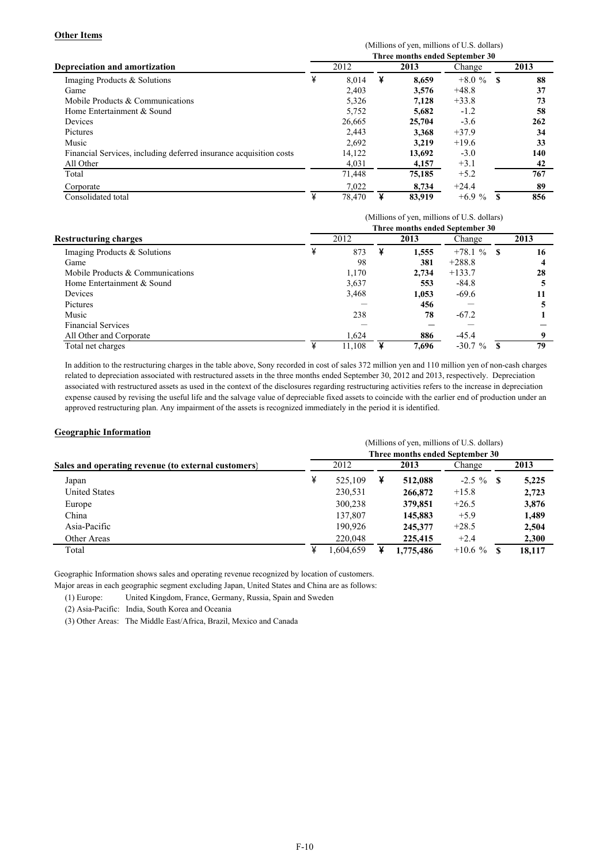#### **Other Items**

|                                                                    |   |        |   | (Millions of yen, millions of U.S. dollars) |              |      |
|--------------------------------------------------------------------|---|--------|---|---------------------------------------------|--------------|------|
|                                                                    |   |        |   | Three months ended September 30             |              |      |
| <b>Depreciation and amortization</b>                               |   | 2012   |   | 2013                                        | Change       | 2013 |
| Imaging Products & Solutions                                       | ¥ | 8.014  | ¥ | 8,659                                       | $+8.0 \%$ \$ | 88   |
| Game                                                               |   | 2,403  |   | 3,576                                       | $+48.8$      | 37   |
| Mobile Products & Communications                                   |   | 5,326  |   | 7,128                                       | $+33.8$      | 73   |
| Home Entertainment & Sound                                         |   | 5,752  |   | 5.682                                       | $-1.2$       | 58   |
| <b>Devices</b>                                                     |   | 26,665 |   | 25,704                                      | $-3.6$       | 262  |
| Pictures                                                           |   | 2.443  |   | 3,368                                       | $+37.9$      | 34   |
| Music                                                              |   | 2,692  |   | 3.219                                       | $+19.6$      | 33   |
| Financial Services, including deferred insurance acquisition costs |   | 14,122 |   | 13,692                                      | $-3.0$       | 140  |
| All Other                                                          |   | 4,031  |   | 4,157                                       | $+3.1$       | 42   |
| Total                                                              |   | 71,448 |   | 75,185                                      | $+5.2$       | 767  |
| Corporate                                                          |   | 7.022  |   | 8,734                                       | $+24.4$      | 89   |
| Consolidated total                                                 |   | 78,470 |   | 83.919                                      | $+6.9%$      | 856  |

|                                  |        |       | (Millions of yen, millions of U.S. dollars) |      |      |
|----------------------------------|--------|-------|---------------------------------------------|------|------|
|                                  |        |       | Three months ended September 30             |      |      |
| <b>Restructuring charges</b>     | 2012   | 2013  | Change                                      |      | 2013 |
| Imaging Products & Solutions     | 873    | 1,555 | $+78.1%$                                    | - \$ | 16   |
| Game                             | 98     | 381   | $+288.8$                                    |      |      |
| Mobile Products & Communications | 1,170  | 2.734 | $+133.7$                                    |      | 28   |
| Home Entertainment & Sound       | 3,637  | 553   | $-84.8$                                     |      |      |
| Devices                          | 3,468  | 1.053 | $-69.6$                                     |      | 11   |
| Pictures                         |        | 456   |                                             |      |      |
| Music                            | 238    | 78    | $-67.2$                                     |      |      |
| <b>Financial Services</b>        |        |       |                                             |      |      |
| All Other and Corporate          | 1.624  | 886   | $-45.4$                                     |      |      |
| Total net charges                | 11,108 | 7.696 | $-30.7%$                                    |      | 79   |

In addition to the restructuring charges in the table above, Sony recorded in cost of sales 372 million yen and 110 million yen of non-cash charges related to depreciation associated with restructured assets in the three months ended September 30, 2012 and 2013, respectively. Depreciation associated with restructured assets as used in the context of the disclosures regarding restructuring activities refers to the increase in depreciation expense caused by revising the useful life and the salvage value of depreciable fixed assets to coincide with the earlier end of production under an approved restructuring plan. Any impairment of the assets is recognized immediately in the period it is identified.

### **Geographic Information**

| --- <del>-</del> ---------------                    |   |          | (Millions of yen, millions of U.S. dollars) |            |    |        |
|-----------------------------------------------------|---|----------|---------------------------------------------|------------|----|--------|
|                                                     |   |          | Three months ended September 30             |            |    |        |
| Sales and operating revenue (to external customers) |   | 2012     | 2013                                        | Change     |    | 2013   |
| Japan                                               | ¥ | 525,109  | 512,088                                     | $-2.5 \%$  | -8 | 5,225  |
| <b>United States</b>                                |   | 230,531  | 266,872                                     | $+15.8$    |    | 2,723  |
| Europe                                              |   | 300,238  | 379,851                                     | $+26.5$    |    | 3,876  |
| China                                               |   | 137,807  | 145,883                                     | $+5.9$     |    | 1,489  |
| Asia-Pacific                                        |   | 190.926  | 245,377                                     | $+28.5$    |    | 2,504  |
| Other Areas                                         |   | 220,048  | 225,415                                     | $+2.4$     |    | 2,300  |
| Total                                               | ¥ | .604.659 | 1,775,486                                   | $+10.6 \%$ |    | 18,117 |

Geographic Information shows sales and operating revenue recognized by location of customers.

Major areas in each geographic segment excluding Japan, United States and China are as follows:

(1) Europe: United Kingdom, France, Germany, Russia, Spain and Sweden

(2) Asia-Pacific: India, South Korea and Oceania

(3) Other Areas: The Middle East/Africa, Brazil, Mexico and Canada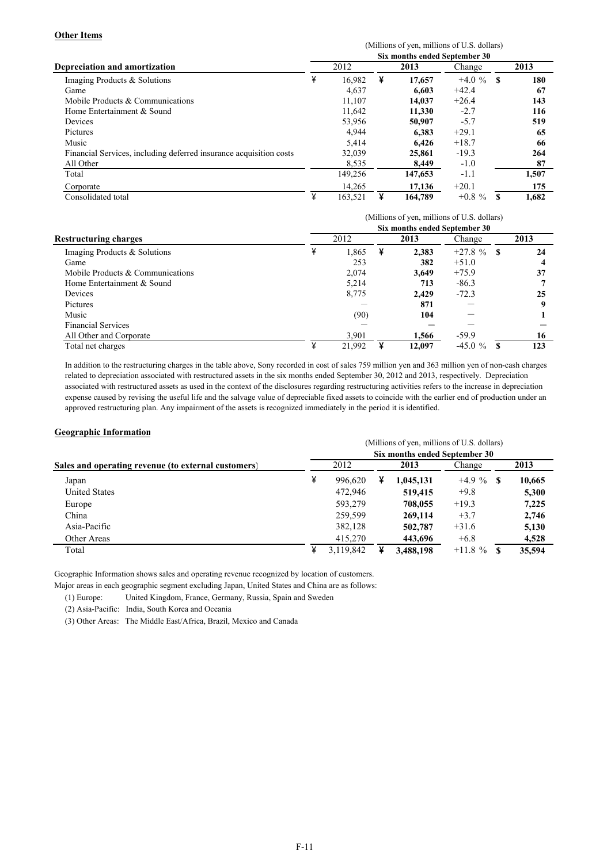#### **Other Items**

|                                                                    |   |         |   | (Millions of yen, millions of U.S. dollars) |            |       |
|--------------------------------------------------------------------|---|---------|---|---------------------------------------------|------------|-------|
|                                                                    |   |         |   | Six months ended September 30               |            |       |
| <b>Depreciation and amortization</b>                               |   | 2012    |   | 2013                                        | Change     | 2013  |
| Imaging Products & Solutions                                       | ¥ | 16.982  | ¥ | 17,657                                      | $+4.0%$ \$ | 180   |
| Game                                                               |   | 4,637   |   | 6.603                                       | $+42.4$    | 67    |
| Mobile Products & Communications                                   |   | 11,107  |   | 14,037                                      | $+26.4$    | 143   |
| Home Entertainment & Sound                                         |   | 11,642  |   | 11.330                                      | $-2.7$     | 116   |
| Devices                                                            |   | 53,956  |   | 50,907                                      | $-5.7$     | 519   |
| Pictures                                                           |   | 4.944   |   | 6.383                                       | $+29.1$    | 65    |
| Music                                                              |   | 5,414   |   | 6,426                                       | $+18.7$    | 66    |
| Financial Services, including deferred insurance acquisition costs |   | 32,039  |   | 25,861                                      | $-19.3$    | 264   |
| All Other                                                          |   | 8,535   |   | 8,449                                       | $-1.0$     | 87    |
| Total                                                              |   | 149,256 |   | 147,653                                     | $-1.1$     | 1,507 |
| Corporate                                                          |   | 14.265  |   | 17,136                                      | $+20.1$    | 175   |
| Consolidated total                                                 |   | 163,521 |   | 164,789                                     | $+0.8 \%$  | 1.682 |

|                                  |   |        | (Millions of yen, millions of U.S. dollars) |          |    |      |
|----------------------------------|---|--------|---------------------------------------------|----------|----|------|
|                                  |   |        | Six months ended September 30               |          |    |      |
| <b>Restructuring charges</b>     |   | 2012   | 2013                                        | Change   |    | 2013 |
| Imaging Products & Solutions     | ¥ | 1,865  | 2.383                                       | $+27.8%$ | -8 | 24   |
| Game                             |   | 253    | 382                                         | $+51.0$  |    |      |
| Mobile Products & Communications |   | 2.074  | 3.649                                       | $+75.9$  |    | 37   |
| Home Entertainment & Sound       |   | 5,214  | 713                                         | $-86.3$  |    |      |
| <b>Devices</b>                   |   | 8,775  | 2,429                                       | $-72.3$  |    | 25   |
| Pictures                         |   |        | 871                                         |          |    | Q    |
| Music                            |   | (90)   | 104                                         |          |    |      |
| <b>Financial Services</b>        |   |        |                                             |          |    |      |
| All Other and Corporate          |   | 3,901  | 1.566                                       | $-59.9$  |    | 16   |
| Total net charges                |   | 21,992 | 12.097                                      | $-45.0%$ |    | 123  |

In addition to the restructuring charges in the table above, Sony recorded in cost of sales 759 million yen and 363 million yen of non-cash charges related to depreciation associated with restructured assets in the six months ended September 30, 2012 and 2013, respectively. Depreciation associated with restructured assets as used in the context of the disclosures regarding restructuring activities refers to the increase in depreciation expense caused by revising the useful life and the salvage value of depreciable fixed assets to coincide with the earlier end of production under an approved restructuring plan. Any impairment of the assets is recognized immediately in the period it is identified.

### **Geographic Information**

|                                                     |   |           | (Millions of yen, millions of U.S. dollars) |            |     |        |
|-----------------------------------------------------|---|-----------|---------------------------------------------|------------|-----|--------|
|                                                     |   |           | Six months ended September 30               |            |     |        |
| Sales and operating revenue (to external customers) |   | 2012      | 2013                                        | Change     |     | 2013   |
| Japan                                               | ¥ | 996.620   | 1,045,131                                   | $+4.9%$    | -SS | 10,665 |
| <b>United States</b>                                |   | 472,946   | 519,415                                     | $+9.8$     |     | 5,300  |
| Europe                                              |   | 593,279   | 708,055                                     | $+19.3$    |     | 7,225  |
| China                                               |   | 259,599   | 269,114                                     | $+3.7$     |     | 2,746  |
| Asia-Pacific                                        |   | 382,128   | 502,787                                     | $+31.6$    |     | 5,130  |
| Other Areas                                         |   | 415,270   | 443,696                                     | $+6.8$     |     | 4,528  |
| Total                                               | ¥ | 3.119.842 | 3,488,198                                   | $+11.8 \%$ |     | 35,594 |

Geographic Information shows sales and operating revenue recognized by location of customers.

Major areas in each geographic segment excluding Japan, United States and China are as follows:

(1) Europe: United Kingdom, France, Germany, Russia, Spain and Sweden

(2) Asia-Pacific: India, South Korea and Oceania

(3) Other Areas: The Middle East/Africa, Brazil, Mexico and Canada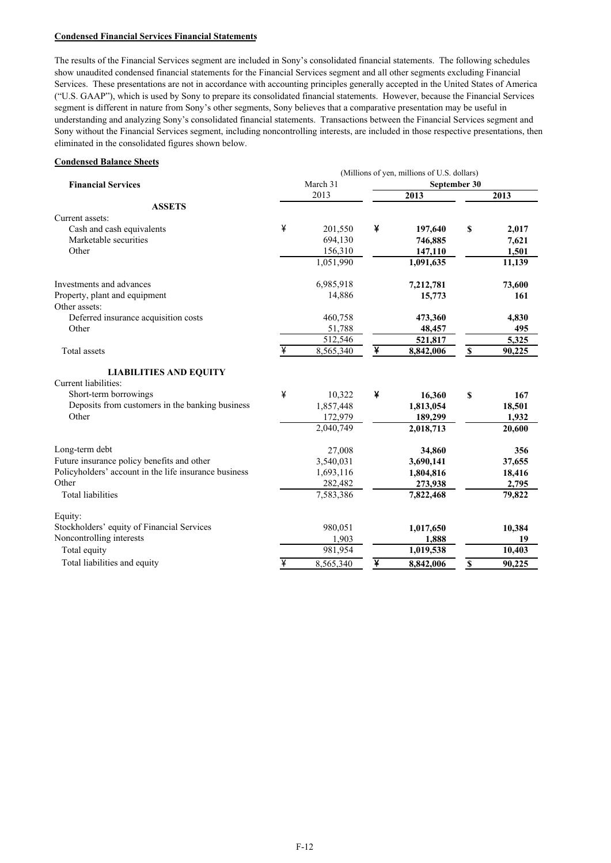#### **Condensed Financial Services Financial Statements**

The results of the Financial Services segment are included in Sony's consolidated financial statements. The following schedules show unaudited condensed financial statements for the Financial Services segment and all other segments excluding Financial Services. These presentations are not in accordance with accounting principles generally accepted in the United States of America ("U.S. GAAP"), which is used by Sony to prepare its consolidated financial statements. However, because the Financial Services segment is different in nature from Sony's other segments, Sony believes that a comparative presentation may be useful in understanding and analyzing Sony's consolidated financial statements. Transactions between the Financial Services segment and Sony without the Financial Services segment, including noncontrolling interests, are included in those respective presentations, then eliminated in the consolidated figures shown below.

#### **Condensed Balance Sheets**

|                                                       |   |           |   | (Millions of yen, millions of U.S. dollars) |                           |        |  |
|-------------------------------------------------------|---|-----------|---|---------------------------------------------|---------------------------|--------|--|
| <b>Financial Services</b>                             |   | March 31  |   |                                             | September 30              |        |  |
|                                                       |   | 2013      |   | $\sqrt{2013}$                               |                           | 2013   |  |
| <b>ASSETS</b>                                         |   |           |   |                                             |                           |        |  |
| Current assets:                                       |   |           |   |                                             |                           |        |  |
| Cash and cash equivalents                             | ¥ | 201,550   | ¥ | 197,640                                     | \$                        | 2,017  |  |
| Marketable securities                                 |   | 694,130   |   | 746,885                                     |                           | 7,621  |  |
| Other                                                 |   | 156,310   |   | 147,110                                     |                           | 1,501  |  |
|                                                       |   | 1,051,990 |   | 1,091,635                                   |                           | 11,139 |  |
| Investments and advances                              |   | 6,985,918 |   | 7,212,781                                   |                           | 73,600 |  |
| Property, plant and equipment                         |   | 14,886    |   | 15,773                                      |                           | 161    |  |
| Other assets:                                         |   |           |   |                                             |                           |        |  |
| Deferred insurance acquisition costs                  |   | 460,758   |   | 473,360                                     |                           | 4,830  |  |
| Other                                                 |   | 51,788    |   | 48,457                                      |                           | 495    |  |
|                                                       |   | 512,546   |   | 521,817                                     |                           | 5,325  |  |
| Total assets                                          | ¥ | 8,565,340 | ¥ | 8,842,006                                   | $\mathbf{s}$              | 90,225 |  |
| <b>LIABILITIES AND EQUITY</b>                         |   |           |   |                                             |                           |        |  |
| Current liabilities:                                  |   |           |   |                                             |                           |        |  |
| Short-term borrowings                                 | ¥ | 10,322    | ¥ | 16,360                                      | \$                        | 167    |  |
| Deposits from customers in the banking business       |   | 1,857,448 |   | 1,813,054                                   |                           | 18,501 |  |
| Other                                                 |   | 172,979   |   | 189,299                                     |                           | 1,932  |  |
|                                                       |   | 2,040,749 |   | 2,018,713                                   |                           | 20,600 |  |
| Long-term debt                                        |   | 27,008    |   | 34,860                                      |                           | 356    |  |
| Future insurance policy benefits and other            |   | 3,540,031 |   | 3,690,141                                   |                           | 37,655 |  |
| Policyholders' account in the life insurance business |   | 1,693,116 |   | 1,804,816                                   |                           | 18,416 |  |
| Other                                                 |   | 282,482   |   | 273,938                                     |                           | 2,795  |  |
| <b>Total liabilities</b>                              |   | 7,583,386 |   | 7,822,468                                   |                           | 79,822 |  |
| Equity:                                               |   |           |   |                                             |                           |        |  |
| Stockholders' equity of Financial Services            |   | 980,051   |   | 1,017,650                                   |                           | 10,384 |  |
| Noncontrolling interests                              |   | 1,903     |   | 1,888                                       |                           | 19     |  |
| Total equity                                          |   | 981,954   |   | 1,019,538                                   |                           | 10,403 |  |
| Total liabilities and equity                          | ¥ | 8,565,340 | ¥ | 8,842,006                                   | $\boldsymbol{\mathsf{S}}$ | 90,225 |  |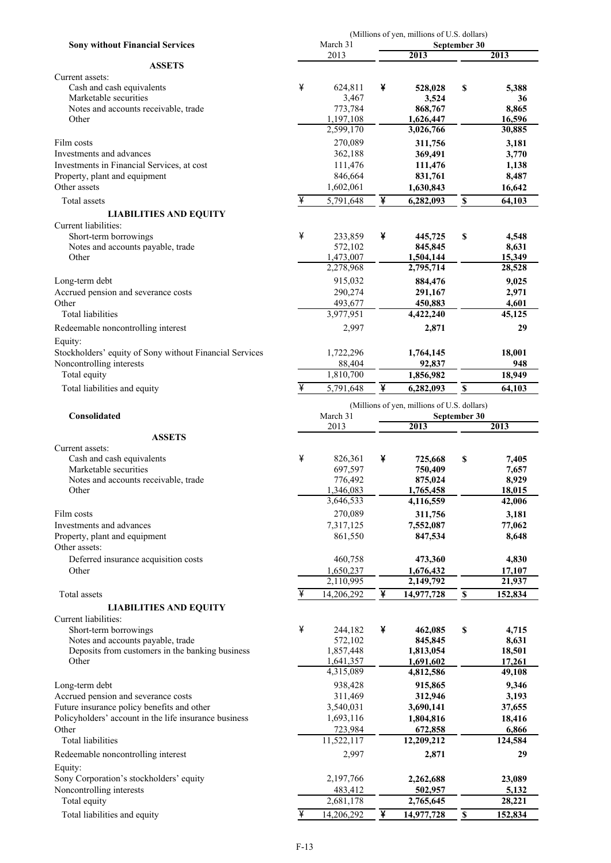|                                                            |   |                         |   | (Millions of yen, millions of U.S. dollars) |              |                   |
|------------------------------------------------------------|---|-------------------------|---|---------------------------------------------|--------------|-------------------|
| <b>Sony without Financial Services</b>                     |   | March 31<br>2013        |   | 2013                                        | September 30 | 2013              |
| <b>ASSETS</b>                                              |   |                         |   |                                             |              |                   |
| Current assets:                                            |   |                         |   |                                             |              |                   |
| Cash and cash equivalents                                  | ¥ | 624,811                 | ¥ | 528,028                                     | \$           | 5,388             |
| Marketable securities                                      |   | 3,467                   |   | 3,524                                       |              | 36                |
| Notes and accounts receivable, trade                       |   | 773,784                 |   | 868,767                                     |              | 8,865             |
| Other                                                      |   | 1,197,108               |   | 1,626,447                                   |              | 16,596            |
|                                                            |   | 2,599,170               |   | 3,026,766                                   |              | 30,885            |
| Film costs                                                 |   | 270,089                 |   | 311,756                                     |              | 3,181             |
| Investments and advances                                   |   | 362,188                 |   | 369,491                                     |              | 3,770             |
| Investments in Financial Services, at cost                 |   | 111,476                 |   | 111,476                                     |              | 1,138             |
| Property, plant and equipment                              |   | 846,664                 |   | 831,761                                     |              | 8,487             |
| Other assets                                               |   | 1,602,061               |   | 1,630,843                                   |              | 16,642            |
| Total assets                                               | ¥ | 5,791,648               | ¥ | 6,282,093                                   | $\mathbb S$  | 64,103            |
| <b>LIABILITIES AND EQUITY</b>                              |   |                         |   |                                             |              |                   |
| Current liabilities:                                       |   |                         |   |                                             |              |                   |
| Short-term borrowings                                      | ¥ | 233,859                 | ¥ | 445,725                                     | \$           | 4,548             |
| Notes and accounts payable, trade                          |   | 572,102                 |   | 845,845                                     |              | 8,631             |
| Other                                                      |   | 1,473,007               |   | 1,504,144                                   |              | 15,349            |
|                                                            |   | 2,278,968               |   | 2,795,714                                   |              | 28,528            |
| Long-term debt                                             |   | 915,032                 |   | 884,476                                     |              | 9,025             |
| Accrued pension and severance costs                        |   | 290,274                 |   | 291,167                                     |              | 2,971             |
| Other                                                      |   | 493,677                 |   | 450,883                                     |              | 4,601             |
| <b>Total liabilities</b>                                   |   | 3,977,951               |   | 4,422,240                                   |              | 45,125            |
|                                                            |   |                         |   |                                             |              |                   |
| Redeemable noncontrolling interest                         |   | 2,997                   |   | 2,871                                       |              | 29                |
| Equity:                                                    |   |                         |   |                                             |              |                   |
| Stockholders' equity of Sony without Financial Services    |   | 1,722,296               |   | 1,764,145                                   |              | 18,001            |
| Noncontrolling interests                                   |   | 88,404                  |   | 92,837                                      |              | 948               |
| Total equity                                               |   | 1,810,700               |   | 1,856,982                                   |              | 18,949            |
| Total liabilities and equity                               | ¥ | 5,791,648               | ¥ | 6,282,093                                   | $\mathbf{s}$ | 64,103            |
|                                                            |   |                         |   | (Millions of yen, millions of U.S. dollars) |              |                   |
| Consolidated                                               |   | March 31                |   |                                             | September 30 |                   |
|                                                            |   | 2013                    |   | 2013                                        |              | 2013              |
| <b>ASSETS</b>                                              |   |                         |   |                                             |              |                   |
| Current assets:                                            |   |                         |   |                                             |              |                   |
| Cash and cash equivalents                                  | ¥ | 826,361                 | ¥ | 725,668                                     | \$           | 7,405             |
| Marketable securities                                      |   |                         |   |                                             |              |                   |
|                                                            |   | 697,597                 |   | 750,409                                     |              | 7,657             |
| Notes and accounts receivable, trade                       |   | 776,492                 |   | 875,024                                     |              | 8,929             |
| Other                                                      |   | 1,346,083               |   | 1,765,458                                   |              | 18,015            |
|                                                            |   | 3,646,533               |   | 4,116,559                                   |              | 42,006            |
| Film costs                                                 |   | 270,089                 |   | 311,756                                     |              | 3,181             |
| Investments and advances                                   |   | 7,317,125               |   | 7,552,087                                   |              | 77,062            |
| Property, plant and equipment                              |   | 861,550                 |   | 847,534                                     |              | 8,648             |
| Other assets:                                              |   |                         |   |                                             |              |                   |
| Deferred insurance acquisition costs                       |   | 460,758                 |   | 473,360                                     |              | 4,830             |
| Other                                                      |   | 1,650,237               |   | 1,676,432                                   |              | 17,107            |
|                                                            |   | 2,110,995               |   | 2,149,792                                   |              | 21,937            |
| Total assets                                               |   | 14,206,292              | ¥ | 14,977,728                                  | \$           | 152,834           |
|                                                            |   |                         |   |                                             |              |                   |
| <b>LIABILITIES AND EQUITY</b><br>Current liabilities:      |   |                         |   |                                             |              |                   |
|                                                            | ¥ |                         | ¥ |                                             |              |                   |
| Short-term borrowings<br>Notes and accounts payable, trade |   | 244,182<br>572,102      |   | 462,085                                     | \$           | 4,715             |
| Deposits from customers in the banking business            |   | 1,857,448               |   | 845,845<br>1,813,054                        |              | 8,631<br>18,501   |
| Other                                                      |   | 1,641,357               |   | 1,691,602                                   |              | 17,261            |
|                                                            |   | 4,315,089               |   | 4,812,586                                   |              | 49,108            |
| Long-term debt                                             |   | 938,428                 |   | 915,865                                     |              | 9,346             |
| Accrued pension and severance costs                        |   | 311,469                 |   | 312,946                                     |              | 3,193             |
| Future insurance policy benefits and other                 |   | 3,540,031               |   | 3,690,141                                   |              | 37,655            |
| Policyholders' account in the life insurance business      |   | 1,693,116               |   | 1,804,816                                   |              | 18,416            |
| Other                                                      |   | 723,984                 |   | 672,858                                     |              | 6,866             |
| <b>Total liabilities</b>                                   |   | 11,522,117              |   | 12,209,212                                  |              | 124,584           |
|                                                            |   | 2,997                   |   |                                             |              | 29                |
| Redeemable noncontrolling interest                         |   |                         |   | 2,871                                       |              |                   |
| Equity:                                                    |   |                         |   |                                             |              |                   |
| Sony Corporation's stockholders' equity                    |   | 2,197,766               |   | 2,262,688                                   |              | 23,089            |
| Noncontrolling interests                                   |   | 483,412                 |   | 502,957                                     |              | 5,132             |
| Total equity<br>Total liabilities and equity               | ¥ | 2,681,178<br>14,206,292 | ¥ | 2,765,645<br>14,977,728                     | \$           | 28,221<br>152,834 |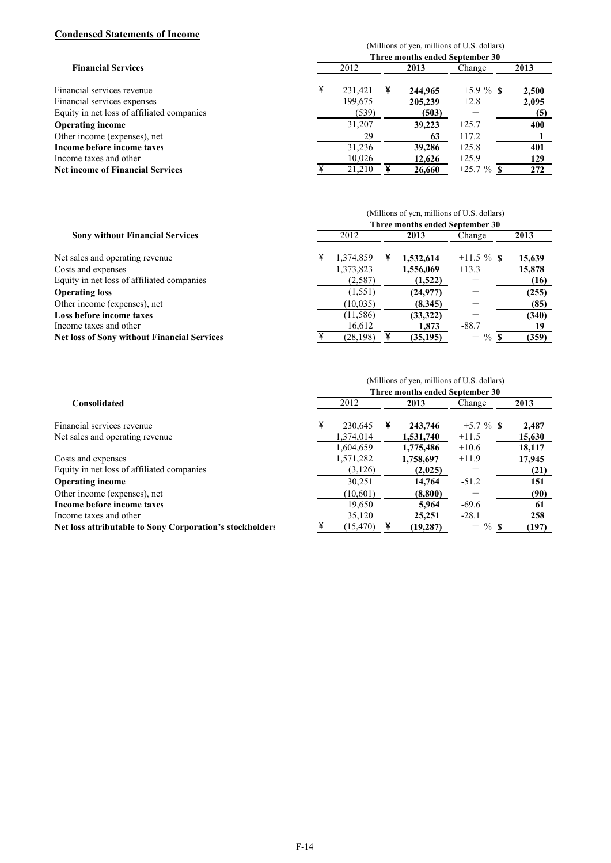# **Condensed Statements of Income**

|                                            | (Millions of yen, millions of U.S. dollars) |         |      |         |               |       |  |  |  |  |
|--------------------------------------------|---------------------------------------------|---------|------|---------|---------------|-------|--|--|--|--|
|                                            | Three months ended September 30             |         |      |         |               |       |  |  |  |  |
| <b>Financial Services</b>                  |                                             | 2012    | 2013 |         | Change        | 2013  |  |  |  |  |
| Financial services revenue                 | ¥                                           | 231.421 | ¥    | 244,965 | $+5.9 \%$ \$  | 2,500 |  |  |  |  |
| Financial services expenses                |                                             | 199,675 |      | 205,239 | $+2.8$        | 2,095 |  |  |  |  |
| Equity in net loss of affiliated companies |                                             | (539)   |      | (503)   |               | (5)   |  |  |  |  |
| <b>Operating income</b>                    |                                             | 31,207  |      | 39,223  | $+25.7$       | 400   |  |  |  |  |
| Other income (expenses), net               |                                             | 29      |      | 63      | $+117.2$      |       |  |  |  |  |
| Income before income taxes                 |                                             | 31.236  |      | 39,286  | $+25.8$       | 401   |  |  |  |  |
| Income taxes and other                     |                                             | 10,026  |      | 12,626  | $+25.9$       | 129   |  |  |  |  |
| <b>Net income of Financial Services</b>    |                                             | 21,210  |      | 26,660  | $+25.7 \%$ \$ | 272   |  |  |  |  |

|                                                    | (Millions of yen, millions of U.S. dollars) |           |   |           |               |        |  |  |  |
|----------------------------------------------------|---------------------------------------------|-----------|---|-----------|---------------|--------|--|--|--|
|                                                    | Three months ended September 30             |           |   |           |               |        |  |  |  |
| <b>Sony without Financial Services</b>             |                                             | 2012      |   | 2013      | Change        | 2013   |  |  |  |
| Net sales and operating revenue                    | ¥                                           | 1.374.859 | ¥ | 1,532,614 | $+11.5 \%$ \$ | 15,639 |  |  |  |
| Costs and expenses                                 |                                             | 1,373,823 |   | 1,556,069 | $+13.3$       | 15,878 |  |  |  |
| Equity in net loss of affiliated companies         |                                             | (2,587)   |   | (1,522)   |               | (16)   |  |  |  |
| <b>Operating loss</b>                              |                                             | (1, 551)  |   | (24, 977) |               | (255)  |  |  |  |
| Other income (expenses), net                       |                                             | (10, 035) |   | (8,345)   |               | (85)   |  |  |  |
| Loss before income taxes                           |                                             | (11, 586) |   | (33,322)  |               | (340)  |  |  |  |
| Income taxes and other                             |                                             | 16,612    |   | 1,873     | $-88.7$       | 19     |  |  |  |
| <b>Net loss of Sony without Financial Services</b> |                                             | (28, 198) |   | (35, 195) | —             | (359)  |  |  |  |

|                                                          | (Millions of yen, millions of U.S. dollars) |           |   |           |                         |        |  |  |  |  |
|----------------------------------------------------------|---------------------------------------------|-----------|---|-----------|-------------------------|--------|--|--|--|--|
|                                                          | Three months ended September 30             |           |   |           |                         |        |  |  |  |  |
| <b>Consolidated</b>                                      |                                             | 2012      |   | 2013      | Change                  | 2013   |  |  |  |  |
| Financial services revenue                               | ¥                                           | 230,645   | ¥ | 243,746   | $+5.7 \%$ \$            | 2,487  |  |  |  |  |
| Net sales and operating revenue                          |                                             | 1,374,014 |   | 1,531,740 | $+11.5$                 | 15,630 |  |  |  |  |
|                                                          |                                             | 1,604,659 |   | 1,775,486 | $+10.6$                 | 18,117 |  |  |  |  |
| Costs and expenses                                       |                                             | 1,571,282 |   | 1,758,697 | $+11.9$                 | 17,945 |  |  |  |  |
| Equity in net loss of affiliated companies               |                                             | (3,126)   |   | (2,025)   |                         | (21)   |  |  |  |  |
| <b>Operating income</b>                                  |                                             | 30.251    |   | 14,764    | $-51.2$                 | 151    |  |  |  |  |
| Other income (expenses), net                             |                                             | (10,601)  |   | (8,800)   |                         | (90)   |  |  |  |  |
| Income before income taxes                               |                                             | 19,650    |   | 5.964     | $-69.6$                 | -61    |  |  |  |  |
| Income taxes and other                                   |                                             | 35,120    |   | 25,251    | $-28.1$                 | 258    |  |  |  |  |
| Net loss attributable to Sony Corporation's stockholders |                                             | (15, 470) |   | (19, 287) | %S<br>$\qquad \qquad -$ | (197)  |  |  |  |  |

## F-14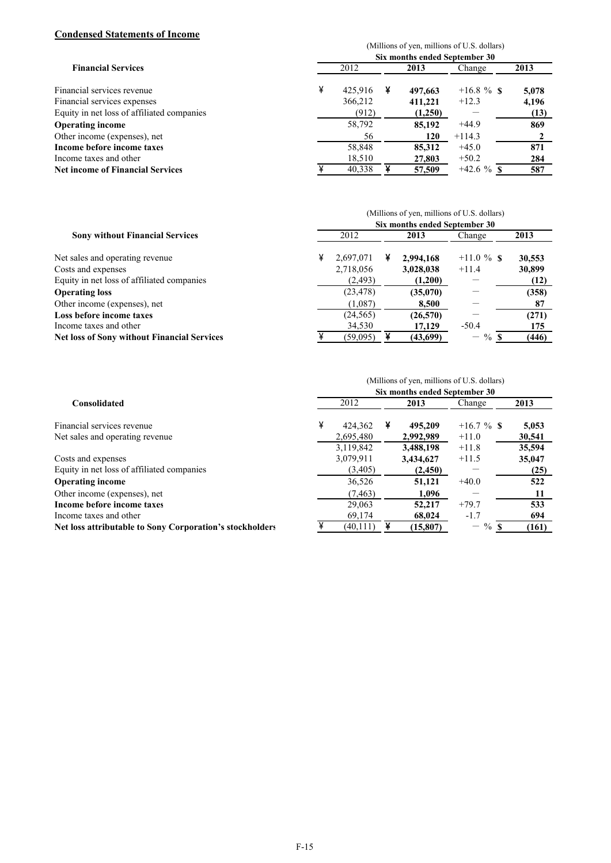# **Condensed Statements of Income**

|                                            | (Millions of yen, millions of U.S. dollars) |                               |      |         |               |       |  |  |  |  |
|--------------------------------------------|---------------------------------------------|-------------------------------|------|---------|---------------|-------|--|--|--|--|
|                                            |                                             | Six months ended September 30 |      |         |               |       |  |  |  |  |
| <b>Financial Services</b>                  |                                             | 2012                          | 2013 |         | Change        | 2013  |  |  |  |  |
| Financial services revenue                 | ¥                                           | 425.916                       | ¥    | 497,663 | $+16.8 \%$ \$ | 5,078 |  |  |  |  |
| Financial services expenses                |                                             | 366,212                       |      | 411,221 | $+12.3$       | 4,196 |  |  |  |  |
| Equity in net loss of affiliated companies |                                             | (912)                         |      | (1,250) |               | (13)  |  |  |  |  |
| <b>Operating income</b>                    |                                             | 58,792                        |      | 85,192  | $+44.9$       | 869   |  |  |  |  |
| Other income (expenses), net               |                                             | 56                            |      | 120     | $+114.3$      |       |  |  |  |  |
| Income before income taxes                 |                                             | 58,848                        |      | 85,312  | $+45.0$       | 871   |  |  |  |  |
| Income taxes and other                     |                                             | 18,510                        |      | 27,803  | $+50.2$       | 284   |  |  |  |  |
| <b>Net income of Financial Services</b>    |                                             | 40,338                        |      | 57,509  | $+42.6%$ \$   | 587   |  |  |  |  |

|                                                    | (Millions of yen, millions of U.S. dollars) |           |   |           |                   |        |  |  |  |  |
|----------------------------------------------------|---------------------------------------------|-----------|---|-----------|-------------------|--------|--|--|--|--|
|                                                    | Six months ended September 30               |           |   |           |                   |        |  |  |  |  |
| <b>Sony without Financial Services</b>             |                                             | 2012      |   | 2013      | Change            | 2013   |  |  |  |  |
| Net sales and operating revenue                    | ¥                                           | 2,697,071 | ¥ | 2,994,168 | $+11.0 \%$ \$     | 30,553 |  |  |  |  |
| Costs and expenses                                 |                                             | 2,718,056 |   | 3,028,038 | $+11.4$           | 30,899 |  |  |  |  |
| Equity in net loss of affiliated companies         |                                             | (2, 493)  |   | (1,200)   |                   | (12)   |  |  |  |  |
| <b>Operating loss</b>                              |                                             | (23, 478) |   | (35,070)  |                   | (358)  |  |  |  |  |
| Other income (expenses), net                       |                                             | (1,087)   |   | 8,500     |                   | 87     |  |  |  |  |
| Loss before income taxes                           |                                             | (24, 565) |   | (26, 570) |                   | (271)  |  |  |  |  |
| Income taxes and other                             |                                             | 34,530    |   | 17,129    | $-50.4$           | 175    |  |  |  |  |
| <b>Net loss of Sony without Financial Services</b> |                                             | (59,095)  |   | (43,699)  | $\qquad \qquad -$ | (446)  |  |  |  |  |

| (Millions of yen, millions of U.S. dollars) |  |  |  |  |
|---------------------------------------------|--|--|--|--|
|                                             |  |  |  |  |

|                                                          | Six months ended September 30 |           |   |           |                         |        |  |  |  |
|----------------------------------------------------------|-------------------------------|-----------|---|-----------|-------------------------|--------|--|--|--|
| Consolidated                                             |                               | 2012      |   | 2013      | Change                  | 2013   |  |  |  |
| Financial services revenue                               | ¥                             | 424.362   | ¥ | 495,209   | $+16.7 \%$ \$           | 5,053  |  |  |  |
| Net sales and operating revenue                          |                               | 2,695,480 |   | 2.992.989 | $+11.0$                 | 30,541 |  |  |  |
|                                                          |                               | 3,119,842 |   | 3,488,198 | $+11.8$                 | 35,594 |  |  |  |
| Costs and expenses                                       |                               | 3,079,911 |   | 3,434,627 | $+11.5$                 | 35,047 |  |  |  |
| Equity in net loss of affiliated companies               |                               | (3,405)   |   | (2,450)   |                         | (25)   |  |  |  |
| <b>Operating income</b>                                  |                               | 36,526    |   | 51,121    | $+40.0$                 | 522    |  |  |  |
| Other income (expenses), net                             |                               | (7, 463)  |   | 1,096     |                         | 11     |  |  |  |
| Income before income taxes                               |                               | 29,063    |   | 52,217    | $+79.7$                 | 533    |  |  |  |
| Income taxes and other                                   |                               | 69,174    |   | 68,024    | $-1.7$                  | 694    |  |  |  |
| Net loss attributable to Sony Corporation's stockholders |                               | (40, 111) |   | (15, 807) | %S<br>$\qquad \qquad -$ | (161)  |  |  |  |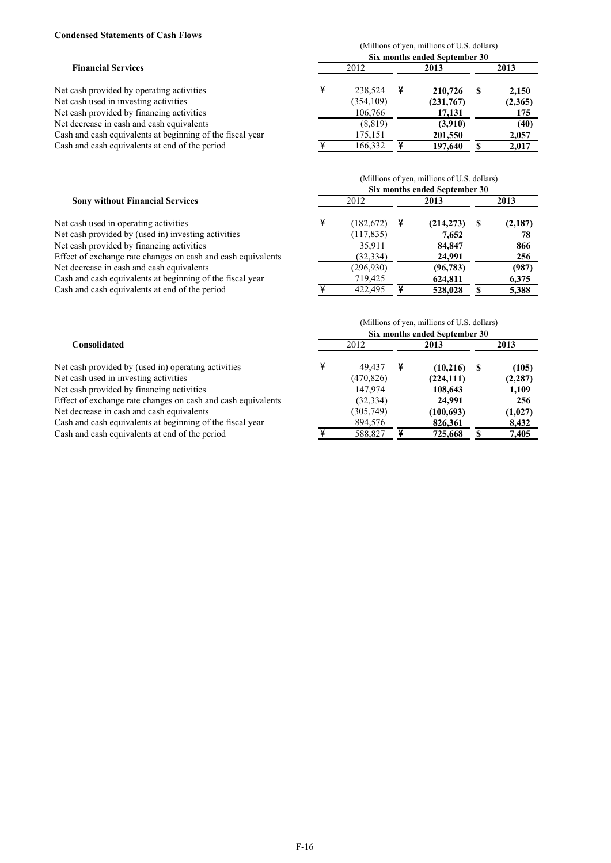### **Condensed Statements of Cash Flows**

| <b>Financial Services</b>                                 |            | (Millions of yen, millions of U.S. dollars)<br>Six months ended September 30 |      |         |  |  |  |  |  |
|-----------------------------------------------------------|------------|------------------------------------------------------------------------------|------|---------|--|--|--|--|--|
|                                                           | 2012       | 2013                                                                         | 2013 |         |  |  |  |  |  |
| Net cash provided by operating activities                 | 238.524    | 210,726                                                                      | S    | 2,150   |  |  |  |  |  |
| Net cash used in investing activities                     | (354, 109) | (231,767)                                                                    |      | (2,365) |  |  |  |  |  |
| Net cash provided by financing activities                 | 106,766    | 17,131                                                                       |      | 175     |  |  |  |  |  |
| Net decrease in cash and cash equivalents                 | (8, 819)   | (3,910)                                                                      |      | (40)    |  |  |  |  |  |
| Cash and cash equivalents at beginning of the fiscal year | 175,151    | 201,550                                                                      |      | 2,057   |  |  |  |  |  |
| Cash and cash equivalents at end of the period            | 166,332    | 197,640                                                                      |      | 2,017   |  |  |  |  |  |

| <b>Sony without Financial Services</b>                       | (Millions of yen, millions of U.S. dollars)<br>Six months ended September 30 |            |  |            |      |         |  |  |
|--------------------------------------------------------------|------------------------------------------------------------------------------|------------|--|------------|------|---------|--|--|
|                                                              |                                                                              | 2012       |  | 2013       | 2013 |         |  |  |
| Net cash used in operating activities                        |                                                                              | (182, 672) |  | (214, 273) | S    | (2,187) |  |  |
| Net cash provided by (used in) investing activities          |                                                                              | (117, 835) |  | 7.652      |      | 78      |  |  |
| Net cash provided by financing activities                    |                                                                              | 35.911     |  | 84,847     |      | 866     |  |  |
| Effect of exchange rate changes on cash and cash equivalents |                                                                              | (32, 334)  |  | 24,991     |      | 256     |  |  |
| Net decrease in cash and cash equivalents                    |                                                                              | (296,930)  |  | (96, 783)  |      | (987)   |  |  |
| Cash and cash equivalents at beginning of the fiscal year    |                                                                              | 719.425    |  | 624,811    |      | 6,375   |  |  |
| Cash and cash equivalents at end of the period               |                                                                              | 422,495    |  | 528,028    |      | 5,388   |  |  |

| Consolidated                                                 | (Millions of yen, millions of U.S. dollars)<br>Six months ended September 30 |            |  |            |      |          |  |  |
|--------------------------------------------------------------|------------------------------------------------------------------------------|------------|--|------------|------|----------|--|--|
|                                                              |                                                                              | 2012       |  | 2013       | 2013 |          |  |  |
| Net cash provided by (used in) operating activities          |                                                                              | 49.437     |  | (10,216)   |      | (105)    |  |  |
| Net cash used in investing activities                        |                                                                              | (470, 826) |  | (224, 111) |      | (2, 287) |  |  |
| Net cash provided by financing activities                    |                                                                              | 147,974    |  | 108,643    |      | 1,109    |  |  |
| Effect of exchange rate changes on cash and cash equivalents |                                                                              | (32, 334)  |  | 24.991     |      | 256      |  |  |
| Net decrease in cash and cash equivalents                    |                                                                              | (305,749)  |  | (100, 693) |      | (1,027)  |  |  |
| Cash and cash equivalents at beginning of the fiscal year    |                                                                              | 894,576    |  | 826,361    |      | 8,432    |  |  |
| Cash and cash equivalents at end of the period               |                                                                              | 588,827    |  | 725,668    |      | 7,405    |  |  |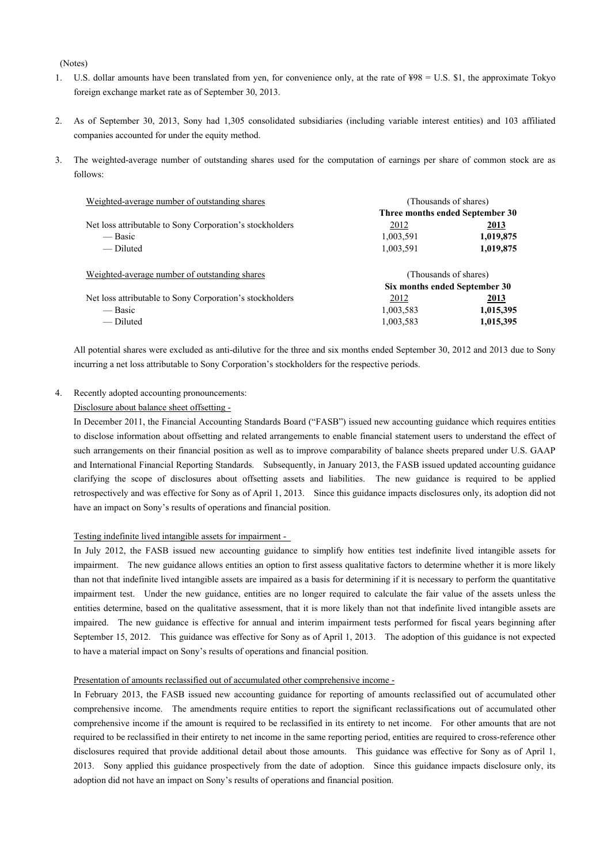#### (Notes)

- 1. U.S. dollar amounts have been translated from yen, for convenience only, at the rate of ¥98 = U.S. \$1, the approximate Tokyo foreign exchange market rate as of September 30, 2013.
- 2. As of September 30, 2013, Sony had 1,305 consolidated subsidiaries (including variable interest entities) and 103 affiliated companies accounted for under the equity method.
- 3. The weighted-average number of outstanding shares used for the computation of earnings per share of common stock are as follows:

| Weighted-average number of outstanding shares            |                               | (Thousands of shares)           |
|----------------------------------------------------------|-------------------------------|---------------------------------|
|                                                          |                               | Three months ended September 30 |
| Net loss attributable to Sony Corporation's stockholders | 2012                          | 2013                            |
| — Basic                                                  | 1,003,591                     | 1,019,875                       |
| — Diluted                                                | 1,003,591                     | 1,019,875                       |
| Weighted-average number of outstanding shares            |                               | (Thousands of shares)           |
|                                                          | Six months ended September 30 |                                 |
| Net loss attributable to Sony Corporation's stockholders | 2012                          | 2013                            |
| — Basic                                                  | 1,003,583                     | 1,015,395                       |
| — Diluted                                                | 1,003,583                     | 1,015,395                       |

All potential shares were excluded as anti-dilutive for the three and six months ended September 30, 2012 and 2013 due to Sony incurring a net loss attributable to Sony Corporation's stockholders for the respective periods.

#### 4. Recently adopted accounting pronouncements:

#### Disclosure about balance sheet offsetting -

In December 2011, the Financial Accounting Standards Board ("FASB") issued new accounting guidance which requires entities to disclose information about offsetting and related arrangements to enable financial statement users to understand the effect of such arrangements on their financial position as well as to improve comparability of balance sheets prepared under U.S. GAAP and International Financial Reporting Standards. Subsequently, in January 2013, the FASB issued updated accounting guidance clarifying the scope of disclosures about offsetting assets and liabilities. The new guidance is required to be applied retrospectively and was effective for Sony as of April 1, 2013. Since this guidance impacts disclosures only, its adoption did not have an impact on Sony's results of operations and financial position.

#### Testing indefinite lived intangible assets for impairment -

In July 2012, the FASB issued new accounting guidance to simplify how entities test indefinite lived intangible assets for impairment. The new guidance allows entities an option to first assess qualitative factors to determine whether it is more likely than not that indefinite lived intangible assets are impaired as a basis for determining if it is necessary to perform the quantitative impairment test. Under the new guidance, entities are no longer required to calculate the fair value of the assets unless the entities determine, based on the qualitative assessment, that it is more likely than not that indefinite lived intangible assets are impaired. The new guidance is effective for annual and interim impairment tests performed for fiscal years beginning after September 15, 2012. This guidance was effective for Sony as of April 1, 2013. The adoption of this guidance is not expected to have a material impact on Sony's results of operations and financial position.

#### Presentation of amounts reclassified out of accumulated other comprehensive income -

In February 2013, the FASB issued new accounting guidance for reporting of amounts reclassified out of accumulated other comprehensive income. The amendments require entities to report the significant reclassifications out of accumulated other comprehensive income if the amount is required to be reclassified in its entirety to net income. For other amounts that are not required to be reclassified in their entirety to net income in the same reporting period, entities are required to cross-reference other disclosures required that provide additional detail about those amounts. This guidance was effective for Sony as of April 1, 2013. Sony applied this guidance prospectively from the date of adoption. Since this guidance impacts disclosure only, its adoption did not have an impact on Sony's results of operations and financial position.